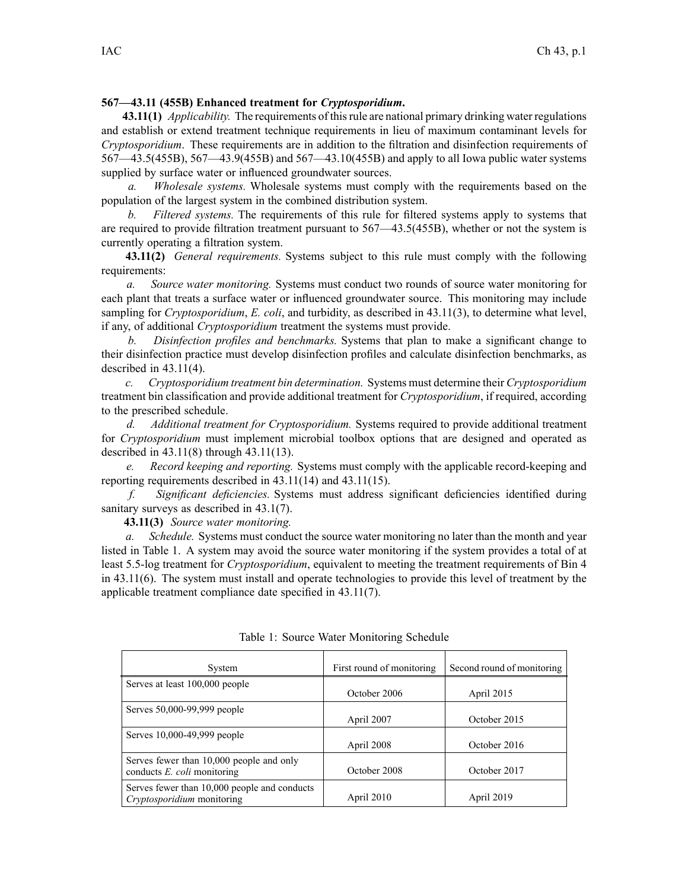#### **567—43.11 (455B) Enhanced treatment for** *Cryptosporidium***.**

**43.11(1)** *Applicability.* The requirements of thisrule are national primary drinking water regulations and establish or extend treatment technique requirements in lieu of maximum contaminant levels for *Cryptosporidium*. These requirements are in addition to the filtration and disinfection requirements of 567—43.5(455B), 567—43.9(455B) and 567—43.10(455B) and apply to all Iowa public water systems supplied by surface water or influenced groundwater sources.

*a. Wholesale systems.* Wholesale systems must comply with the requirements based on the population of the largest system in the combined distribution system.

*b. Filtered systems.* The requirements of this rule for filtered systems apply to systems that are required to provide filtration treatment pursuan<sup>t</sup> to 567—43.5(455B), whether or not the system is currently operating <sup>a</sup> filtration system.

**43.11(2)** *General requirements.* Systems subject to this rule must comply with the following requirements:

*a. Source water monitoring.* Systems must conduct two rounds of source water monitoring for each plant that treats <sup>a</sup> surface water or influenced groundwater source. This monitoring may include sampling for *Cryptosporidium*, *E. coli*, and turbidity, as described in 43.11(3), to determine what level, if any, of additional *Cryptosporidium* treatment the systems must provide.

*b. Disinfection profiles and benchmarks.* Systems that plan to make <sup>a</sup> significant change to their disinfection practice must develop disinfection profiles and calculate disinfection benchmarks, as described in 43.11(4).

*c. Cryptosporidium treatment bin determination.* Systems must determine their *Cryptosporidium* treatment bin classification and provide additional treatment for *Cryptosporidium*, if required, according to the prescribed schedule.

*d. Additional treatment for Cryptosporidium.* Systems required to provide additional treatment for *Cryptosporidium* must implement microbial toolbox options that are designed and operated as described in 43.11(8) through 43.11(13).

*e. Record keeping and reporting.* Systems must comply with the applicable record-keeping and reporting requirements described in 43.11(14) and 43.11(15).

*f. Significant deficiencies.* Systems must address significant deficiencies identified during sanitary surveys as described in 43.1(7).

**43.11(3)** *Source water monitoring.*

*a. Schedule.* Systems must conduct the source water monitoring no later than the month and year listed in Table 1. A system may avoid the source water monitoring if the system provides <sup>a</sup> total of at least 5.5-log treatment for *Cryptosporidium*, equivalent to meeting the treatment requirements of Bin 4 in 43.11(6). The system must install and operate technologies to provide this level of treatment by the applicable treatment compliance date specified in 43.11(7).

| System                                                                     | First round of monitoring | Second round of monitoring |
|----------------------------------------------------------------------------|---------------------------|----------------------------|
| Serves at least 100,000 people                                             | October 2006              | April 2015                 |
| Serves 50,000-99,999 people                                                | April 2007                | October 2015               |
| Serves 10,000-49,999 people                                                | April 2008                | October 2016               |
| Serves fewer than 10,000 people and only<br>conducts $E.$ coli monitoring  | October 2008              | October 2017               |
| Serves fewer than 10,000 people and conducts<br>Cryptosporidium monitoring | April 2010                | April 2019                 |

Table 1: Source Water Monitoring Schedule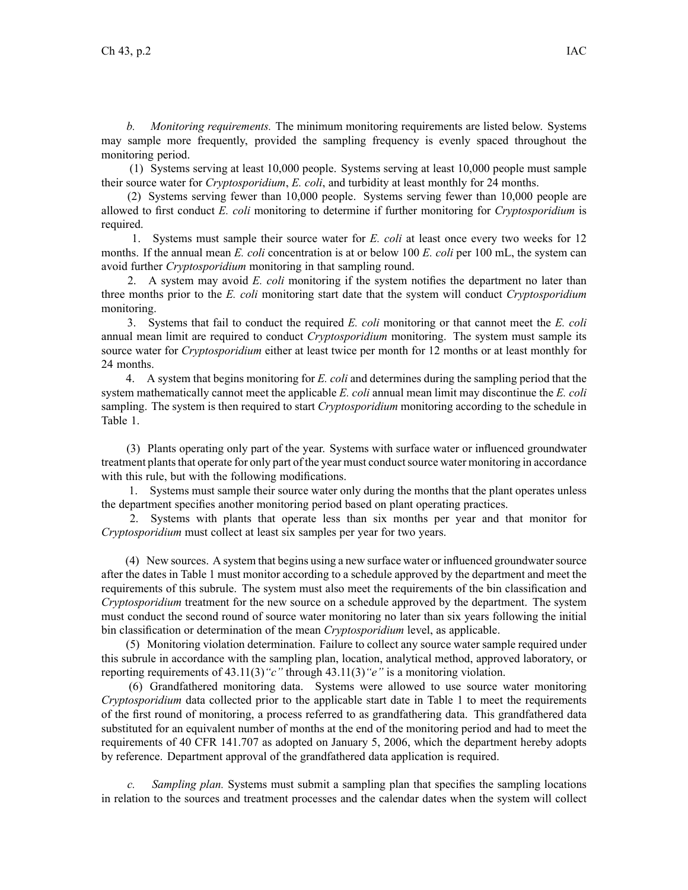*b. Monitoring requirements.* The minimum monitoring requirements are listed below. Systems may sample more frequently, provided the sampling frequency is evenly spaced throughout the monitoring period.

(1) Systems serving at least 10,000 people. Systems serving at least 10,000 people must sample their source water for *Cryptosporidium*, *E. coli*, and turbidity at least monthly for 24 months.

(2) Systems serving fewer than 10,000 people. Systems serving fewer than 10,000 people are allowed to first conduct *E. coli* monitoring to determine if further monitoring for *Cryptosporidium* is required.

1. Systems must sample their source water for *E. coli* at least once every two weeks for 12 months. If the annual mean *E. coli* concentration is at or below 100 *E. coli* per 100 mL, the system can avoid further *Cryptosporidium* monitoring in that sampling round.

2. A system may avoid *E. coli* monitoring if the system notifies the department no later than three months prior to the *E. coli* monitoring start date that the system will conduct *Cryptosporidium* monitoring.

3. Systems that fail to conduct the required *E. coli* monitoring or that cannot meet the *E. coli* annual mean limit are required to conduct *Cryptosporidium* monitoring. The system must sample its source water for *Cryptosporidium* either at least twice per month for 12 months or at least monthly for 24 months.

4. A system that begins monitoring for *E. coli* and determines during the sampling period that the system mathematically cannot meet the applicable *E. coli* annual mean limit may discontinue the *E. coli* sampling. The system is then required to start *Cryptosporidium* monitoring according to the schedule in Table 1.

(3) Plants operating only par<sup>t</sup> of the year. Systems with surface water or influenced groundwater treatment plants that operate for only part of the year must conduct source water monitoring in accordance with this rule, but with the following modifications.

1. Systems must sample their source water only during the months that the plant operates unless the department specifies another monitoring period based on plant operating practices.

2. Systems with plants that operate less than six months per year and that monitor for *Cryptosporidium* must collect at least six samples per year for two years.

(4) New sources. A system that begins using <sup>a</sup> new surface water or influenced groundwatersource after the dates in Table 1 must monitor according to <sup>a</sup> schedule approved by the department and meet the requirements of this subrule. The system must also meet the requirements of the bin classification and *Cryptosporidium* treatment for the new source on <sup>a</sup> schedule approved by the department. The system must conduct the second round of source water monitoring no later than six years following the initial bin classification or determination of the mean *Cryptosporidium* level, as applicable.

(5) Monitoring violation determination. Failure to collect any source water sample required under this subrule in accordance with the sampling plan, location, analytical method, approved laboratory, or reporting requirements of 43.11(3)*"c"* through 43.11(3)*"e"* is <sup>a</sup> monitoring violation.

(6) Grandfathered monitoring data. Systems were allowed to use source water monitoring *Cryptosporidium* data collected prior to the applicable start date in Table 1 to meet the requirements of the first round of monitoring, <sup>a</sup> process referred to as grandfathering data. This grandfathered data substituted for an equivalent number of months at the end of the monitoring period and had to meet the requirements of 40 CFR 141.707 as adopted on January 5, 2006, which the department hereby adopts by reference. Department approval of the grandfathered data application is required.

*c. Sampling plan.* Systems must submit <sup>a</sup> sampling plan that specifies the sampling locations in relation to the sources and treatment processes and the calendar dates when the system will collect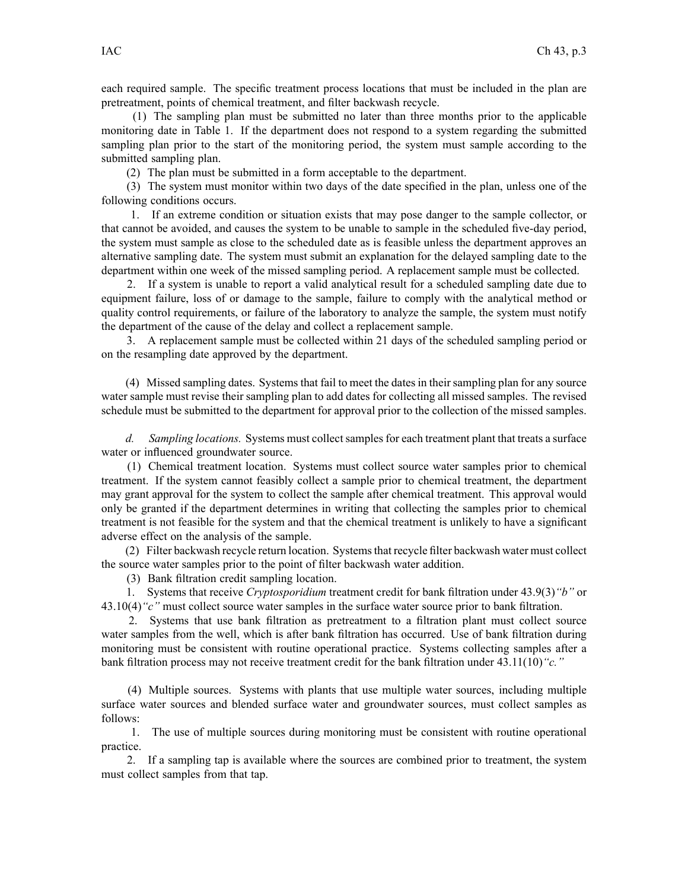each required sample. The specific treatment process locations that must be included in the plan are pretreatment, points of chemical treatment, and filter backwash recycle.

(1) The sampling plan must be submitted no later than three months prior to the applicable monitoring date in Table 1. If the department does not respond to <sup>a</sup> system regarding the submitted sampling plan prior to the start of the monitoring period, the system must sample according to the submitted sampling plan.

(2) The plan must be submitted in <sup>a</sup> form acceptable to the department.

(3) The system must monitor within two days of the date specified in the plan, unless one of the following conditions occurs.

1. If an extreme condition or situation exists that may pose danger to the sample collector, or that cannot be avoided, and causes the system to be unable to sample in the scheduled five-day period, the system must sample as close to the scheduled date as is feasible unless the department approves an alternative sampling date. The system must submit an explanation for the delayed sampling date to the department within one week of the missed sampling period. A replacement sample must be collected.

2. If <sup>a</sup> system is unable to repor<sup>t</sup> <sup>a</sup> valid analytical result for <sup>a</sup> scheduled sampling date due to equipment failure, loss of or damage to the sample, failure to comply with the analytical method or quality control requirements, or failure of the laboratory to analyze the sample, the system must notify the department of the cause of the delay and collect <sup>a</sup> replacement sample.

3. A replacement sample must be collected within 21 days of the scheduled sampling period or on the resampling date approved by the department.

(4) Missed sampling dates. Systemsthat fail to meet the datesin theirsampling plan for any source water sample must revise their sampling plan to add dates for collecting all missed samples. The revised schedule must be submitted to the department for approval prior to the collection of the missed samples.

*d. Sampling locations.* Systems must collect samples for each treatment plant that treats a surface water or influenced groundwater source.

(1) Chemical treatment location. Systems must collect source water samples prior to chemical treatment. If the system cannot feasibly collect <sup>a</sup> sample prior to chemical treatment, the department may gran<sup>t</sup> approval for the system to collect the sample after chemical treatment. This approval would only be granted if the department determines in writing that collecting the samples prior to chemical treatment is not feasible for the system and that the chemical treatment is unlikely to have <sup>a</sup> significant adverse effect on the analysis of the sample.

(2) Filter backwash recycle return location. Systemsthat recycle filter backwash water must collect the source water samples prior to the point of filter backwash water addition.

(3) Bank filtration credit sampling location.

1. Systems that receive *Cryptosporidium* treatment credit for bank filtration under 43.9(3)*"b"* or 43.10(4)*"c"* must collect source water samples in the surface water source prior to bank filtration.

2. Systems that use bank filtration as pretreatment to <sup>a</sup> filtration plant must collect source water samples from the well, which is after bank filtration has occurred. Use of bank filtration during monitoring must be consistent with routine operational practice. Systems collecting samples after <sup>a</sup> bank filtration process may not receive treatment credit for the bank filtration under 43.11(10)*"c."*

(4) Multiple sources. Systems with plants that use multiple water sources, including multiple surface water sources and blended surface water and groundwater sources, must collect samples as follows:

1. The use of multiple sources during monitoring must be consistent with routine operational practice.

2. If <sup>a</sup> sampling tap is available where the sources are combined prior to treatment, the system must collect samples from that tap.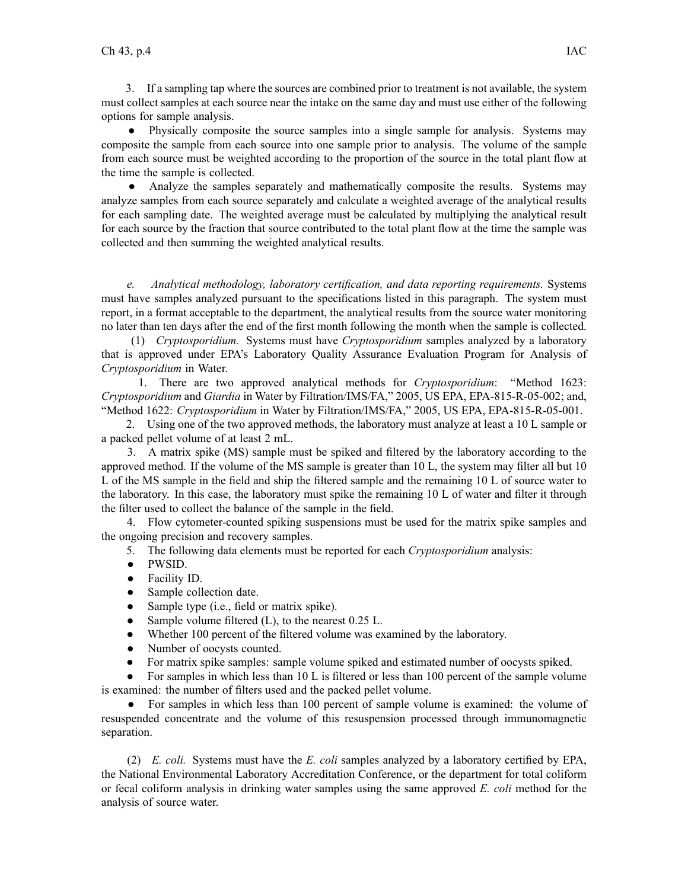3. If <sup>a</sup> sampling tap where the sources are combined prior to treatment is not available, the system must collect samples at each source near the intake on the same day and must use either of the following options for sample analysis.

● Physically composite the source samples into <sup>a</sup> single sample for analysis. Systems may composite the sample from each source into one sample prior to analysis. The volume of the sample from each source must be weighted according to the proportion of the source in the total plant flow at the time the sample is collected.

 $\bullet$  Analyze the samples separately and mathematically composite the results. Systems may analyze samples from each source separately and calculate <sup>a</sup> weighted average of the analytical results for each sampling date. The weighted average must be calculated by multiplying the analytical result for each source by the fraction that source contributed to the total plant flow at the time the sample was collected and then summing the weighted analytical results.

*e. Analytical methodology, laboratory certification, and data reporting requirements.* Systems must have samples analyzed pursuan<sup>t</sup> to the specifications listed in this paragraph. The system must report, in <sup>a</sup> format acceptable to the department, the analytical results from the source water monitoring no later than ten days after the end of the first month following the month when the sample is collected.

(1) *Cryptosporidium.* Systems must have *Cryptosporidium* samples analyzed by <sup>a</sup> laboratory that is approved under EPA's Laboratory Quality Assurance Evaluation Program for Analysis of *Cryptosporidium* in Water.

1. There are two approved analytical methods for *Cryptosporidium*: "Method 1623: *Cryptosporidium* and *Giardia* in Water by Filtration/IMS/FA," 2005, US EPA, EPA-815-R-05-002; and, "Method 1622: *Cryptosporidium* in Water by Filtration/IMS/FA," 2005, US EPA, EPA-815-R-05-001.

2. Using one of the two approved methods, the laboratory must analyze at least <sup>a</sup> 10 L sample or <sup>a</sup> packed pellet volume of at least 2 mL.

3. A matrix spike (MS) sample must be spiked and filtered by the laboratory according to the approved method. If the volume of the MS sample is greater than 10 L, the system may filter all but 10 L of the MS sample in the field and ship the filtered sample and the remaining 10 L of source water to the laboratory. In this case, the laboratory must spike the remaining 10 L of water and filter it through the filter used to collect the balance of the sample in the field.

4. Flow cytometer-counted spiking suspensions must be used for the matrix spike samples and the ongoing precision and recovery samples.

- 5. The following data elements must be reported for each *Cryptosporidium* analysis:
- $\bullet$ PWSID.
- $\bullet$ Facility ID.
- $\bullet$ Sample collection date.
- $\bullet$ Sample type (i.e., field or matrix spike).
- $\bullet$ Sample volume filtered (L), to the nearest 0.25 L.
- $\bullet$ Whether 100 percen<sup>t</sup> of the filtered volume was examined by the laboratory.
- ●Number of oocysts counted.
- $\bullet$ For matrix spike samples: sample volume spiked and estimated number of oocysts spiked.

 $\bullet$  For samples in which less than 10 L is filtered or less than 100 percen<sup>t</sup> of the sample volume is examined: the number of filters used and the packed pellet volume.

● For samples in which less than 100 percen<sup>t</sup> of sample volume is examined: the volume of resuspended concentrate and the volume of this resuspension processed through immunomagnetic separation.

(2) *E. coli.* Systems must have the *E. coli* samples analyzed by <sup>a</sup> laboratory certified by EPA, the National Environmental Laboratory Accreditation Conference, or the department for total coliform or fecal coliform analysis in drinking water samples using the same approved *E. coli* method for the analysis of source water.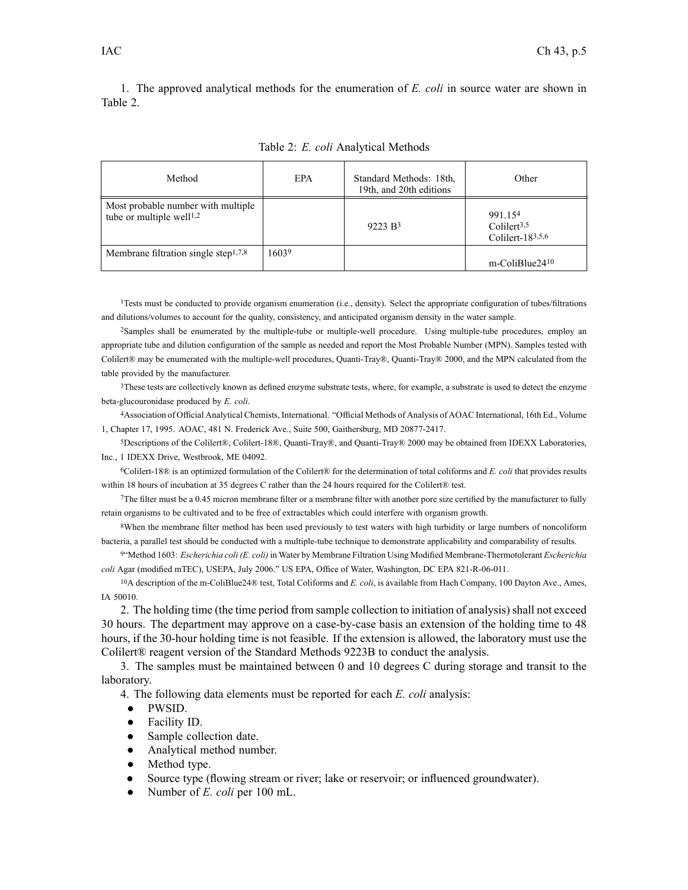1. The approved analytical methods for the enumeration of *E. coli* in source water are shown in Table 2.

| Method                                                                     | EPA   | Standard Methods: 18th.<br>19th, and 20th editions | Other                                                        |
|----------------------------------------------------------------------------|-------|----------------------------------------------------|--------------------------------------------------------------|
| Most probable number with multiple<br>tube or multiple well <sup>1,2</sup> |       | 9223 B <sup>3</sup>                                | 991.154<br>Colilert <sup>3,5</sup><br>Colilert- $18^{3,5,6}$ |
| Membrane filtration single step <sup>1,7,8</sup>                           | 16039 |                                                    | m-ColiBlue2410                                               |

Table 2: *E. coli* Analytical Methods

<sup>1</sup>Tests must be conducted to provide organism enumeration (i.e., density). Select the appropriate configuration of tubes/filtrations and dilutions/volumes to account for the quality, consistency, and anticipated organism density in the water sample.

<sup>2</sup>Samples shall be enumerated by the multiple-tube or multiple-well procedure. Using multiple-tube procedures, employ an appropriate tube and dilution configuration of the sample as needed and repor<sup>t</sup> the Most Probable Number (MPN). Samples tested with Colilert® may be enumerated with the multiple-well procedures, Quanti-Tray®, Quanti-Tray® 2000, and the MPN calculated from the table provided by the manufacturer.

<sup>3</sup>These tests are collectively known as defined enzyme substrate tests, where, for example, <sup>a</sup> substrate is used to detect the enzyme beta-glucouronidase produced by *E. coli*.

<sup>4</sup>Association of Official Analytical Chemists, International. "Official Methods of Analysis of AOAC International, 16th Ed., Volume 1, Chapter 17, 1995. AOAC, 481 N. Frederick Ave., Suite 500, Gaithersburg, MD 20877-2417.

<sup>5</sup>Descriptions of the Colilert®, Colilert-18®, Quanti-Tray®, and Quanti-Tray® 2000 may be obtained from IDEXX Laboratories, Inc., 1 IDEXX Drive, Westbrook, ME 04092.

<sup>6</sup>Colilert-18® is an optimized formulation of the Colilert® for the determination of total coliforms and *E. coli* that provides results within 18 hours of incubation at 35 degrees C rather than the 24 hours required for the Colilert® test.

<sup>7</sup>The filter must be <sup>a</sup> 0.45 micron membrane filter or <sup>a</sup> membrane filter with another pore size certified by the manufacturer to fully retain organisms to be cultivated and to be free of extractables which could interfere with organism growth.

<sup>8</sup>When the membrane filter method has been used previously to test waters with high turbidity or large numbers of noncoliform bacteria, <sup>a</sup> parallel test should be conducted with <sup>a</sup> multiple-tube technique to demonstrate applicability and comparability of results.

9 "Method 1603: *Escherichia coli (E. coli)* in Water by Membrane Filtration Using Modified Membrane-Thermotolerant *Escherichia coli* Agar (modified mTEC), USEPA, July 2006." US EPA, Office of Water, Washington, DC EPA 821-R-06-011.

<sup>10</sup>A description of the m-ColiBlue24® test, Total Coliforms and *E. coli*, is available from Hach Company, 100 Dayton Ave., Ames, IA 50010.

2. The holding time (the time period from sample collection to initiation of analysis) shall not exceed 30 hours. The department may approve on <sup>a</sup> case-by-case basis an extension of the holding time to 48 hours, if the 30-hour holding time is not feasible. If the extension is allowed, the laboratory must use the Colilert® reagen<sup>t</sup> version of the Standard Methods 9223B to conduct the analysis.

3. The samples must be maintained between 0 and 10 degrees C during storage and transit to the laboratory.

4. The following data elements must be reported for each *E. coli* analysis:

- $\bullet$ PWSID.
- ●Facility ID.
- ●Sample collection date.
- ●Analytical method number.
- ●Method type.
- ●Source type (flowing stream or river; lake or reservoir; or influenced groundwater).
- ●Number of *E. coli* per 100 mL.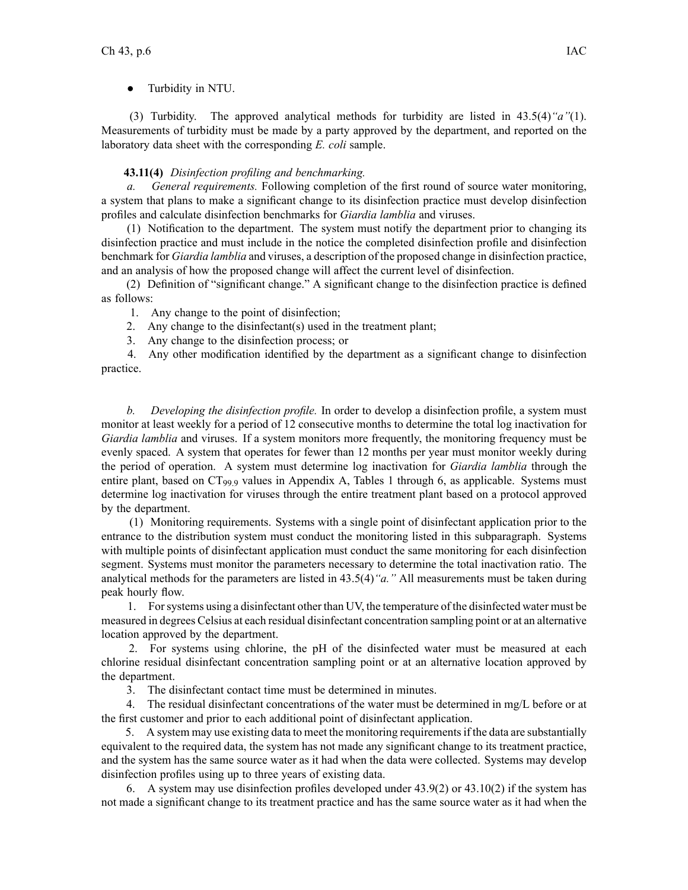● Turbidity in NTU.

(3) Turbidity. The approved analytical methods for turbidity are listed in 43.5(4)*"a"*(1). Measurements of turbidity must be made by <sup>a</sup> party approved by the department, and reported on the laboratory data sheet with the corresponding *E. coli* sample.

# **43.11(4)** *Disinfection profiling and benchmarking.*

*a. General requirements.* Following completion of the first round of source water monitoring, <sup>a</sup> system that plans to make <sup>a</sup> significant change to its disinfection practice must develop disinfection profiles and calculate disinfection benchmarks for *Giardia lamblia* and viruses.

(1) Notification to the department. The system must notify the department prior to changing its disinfection practice and must include in the notice the completed disinfection profile and disinfection benchmark for *Giardia lamblia* and viruses, <sup>a</sup> description of the proposed change in disinfection practice, and an analysis of how the proposed change will affect the current level of disinfection.

(2) Definition of "significant change." A significant change to the disinfection practice is defined as follows:

1. Any change to the point of disinfection;

2. Any change to the disinfectant(s) used in the treatment plant;

3. Any change to the disinfection process; or

4. Any other modification identified by the department as <sup>a</sup> significant change to disinfection practice.

*b. Developing the disinfection profile.* In order to develop <sup>a</sup> disinfection profile, <sup>a</sup> system must monitor at least weekly for <sup>a</sup> period of 12 consecutive months to determine the total log inactivation for *Giardia lamblia* and viruses. If a system monitors more frequently, the monitoring frequency must be evenly spaced. A system that operates for fewer than 12 months per year must monitor weekly during the period of operation. A system must determine log inactivation for *Giardia lamblia* through the entire plant, based on  $CT_{99}$  values in Appendix A, Tables 1 through 6, as applicable. Systems must determine log inactivation for viruses through the entire treatment plant based on <sup>a</sup> protocol approved by the department.

(1) Monitoring requirements. Systems with <sup>a</sup> single point of disinfectant application prior to the entrance to the distribution system must conduct the monitoring listed in this subparagraph. Systems with multiple points of disinfectant application must conduct the same monitoring for each disinfection segment. Systems must monitor the parameters necessary to determine the total inactivation ratio. The analytical methods for the parameters are listed in 43.5(4)*"a."* All measurements must be taken during peak hourly flow.

1. Forsystems using <sup>a</sup> disinfectant other than UV, the temperature of the disinfected water must be measured in degrees Celsius at each residual disinfectant concentration sampling point or at an alternative location approved by the department.

2. For systems using chlorine, the pH of the disinfected water must be measured at each chlorine residual disinfectant concentration sampling point or at an alternative location approved by the department.

3. The disinfectant contact time must be determined in minutes.

4. The residual disinfectant concentrations of the water must be determined in mg/L before or at the first customer and prior to each additional point of disinfectant application.

5. A system may use existing data to meet the monitoring requirementsif the data are substantially equivalent to the required data, the system has not made any significant change to its treatment practice, and the system has the same source water as it had when the data were collected. Systems may develop disinfection profiles using up to three years of existing data.

6. A system may use disinfection profiles developed under 43.9(2) or 43.10(2) if the system has not made <sup>a</sup> significant change to its treatment practice and has the same source water as it had when the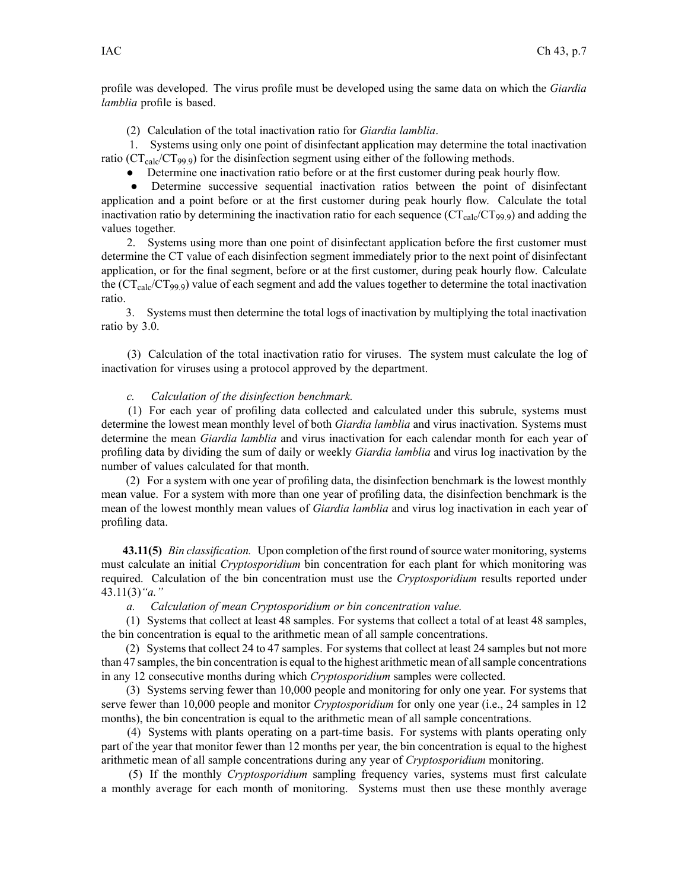profile was developed. The virus profile must be developed using the same data on which the *Giardia lamblia* profile is based.

(2) Calculation of the total inactivation ratio for *Giardia lamblia*.

1. Systems using only one point of disinfectant application may determine the total inactivation ratio ( $CT_{calc}$  $(CT_{.}99.9)$ ) for the disinfection segment using either of the following methods.

• Determine one inactivation ratio before or at the first customer during peak hourly flow.

• Determine successive sequential inactivation ratios between the point of disinfectant application and <sup>a</sup> point before or at the first customer during peak hourly flow. Calculate the total inactivation ratio by determining the inactivation ratio for each sequence  $(CT_{calc}CT_{99.9})$  and adding the values together.

2. Systems using more than one point of disinfectant application before the first customer must determine the CT value of each disinfection segmen<sup>t</sup> immediately prior to the next point of disinfectant application, or for the final segment, before or at the first customer, during peak hourly flow. Calculate the  $(CT_{calc}CT_{99.9})$  value of each segment and add the values together to determine the total inactivation ratio.

3. Systems must then determine the total logs of inactivation by multiplying the total inactivation ratio by 3.0.

(3) Calculation of the total inactivation ratio for viruses. The system must calculate the log of inactivation for viruses using <sup>a</sup> protocol approved by the department.

#### *c. Calculation of the disinfection benchmark.*

(1) For each year of profiling data collected and calculated under this subrule, systems must determine the lowest mean monthly level of both *Giardia lamblia* and virus inactivation. Systems must determine the mean *Giardia lamblia* and virus inactivation for each calendar month for each year of profiling data by dividing the sum of daily or weekly *Giardia lamblia* and virus log inactivation by the number of values calculated for that month.

(2) For <sup>a</sup> system with one year of profiling data, the disinfection benchmark is the lowest monthly mean value. For <sup>a</sup> system with more than one year of profiling data, the disinfection benchmark is the mean of the lowest monthly mean values of *Giardia lamblia* and virus log inactivation in each year of profiling data.

**43.11(5)** *Bin classification.* Upon completion of the first round of source water monitoring, systems must calculate an initial *Cryptosporidium* bin concentration for each plant for which monitoring was required. Calculation of the bin concentration must use the *Cryptosporidium* results reported under 43.11(3)*"a."*

*a. Calculation of mean Cryptosporidium or bin concentration value.*

(1) Systems that collect at least 48 samples. For systems that collect <sup>a</sup> total of at least 48 samples, the bin concentration is equal to the arithmetic mean of all sample concentrations.

(2) Systems that collect 24 to 47 samples. For systems that collect at least 24 samples but not more than 47 samples, the bin concentration is equal to the highest arithmetic mean of allsample concentrations in any 12 consecutive months during which *Cryptosporidium* samples were collected.

(3) Systems serving fewer than 10,000 people and monitoring for only one year. For systems that serve fewer than 10,000 people and monitor *Cryptosporidium* for only one year (i.e., 24 samples in 12 months), the bin concentration is equal to the arithmetic mean of all sample concentrations.

(4) Systems with plants operating on <sup>a</sup> part-time basis. For systems with plants operating only par<sup>t</sup> of the year that monitor fewer than 12 months per year, the bin concentration is equal to the highest arithmetic mean of all sample concentrations during any year of *Cryptosporidium* monitoring.

(5) If the monthly *Cryptosporidium* sampling frequency varies, systems must first calculate <sup>a</sup> monthly average for each month of monitoring. Systems must then use these monthly average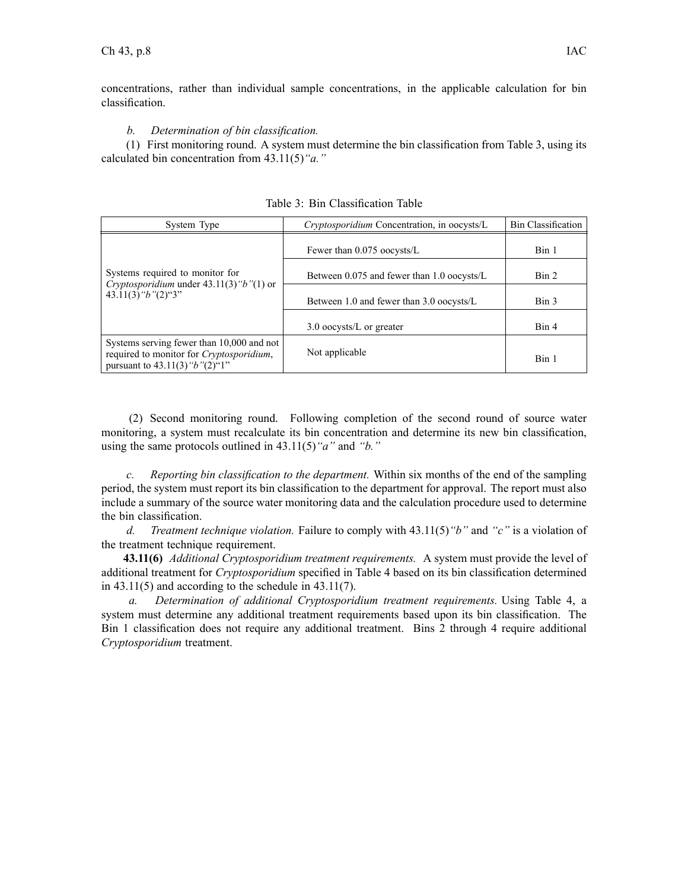concentrations, rather than individual sample concentrations, in the applicable calculation for bin classification.

*b. Determination of bin classification.*

(1) First monitoring round. A system must determine the bin classification from Table 3, using its calculated bin concentration from 43.11(5)*"a."*

| System Type                                                                                                                       | <i>Cryptosporidium</i> Concentration, in oocysts/L | <b>Bin Classification</b> |
|-----------------------------------------------------------------------------------------------------------------------------------|----------------------------------------------------|---------------------------|
|                                                                                                                                   | Fewer than 0.075 oocysts/L                         | Bin 1                     |
| Systems required to monitor for<br>Cryptosporidium under $43.11(3)$ "b"(1) or<br>$43.11(3)$ " $b$ " $(2)$ "3"                     | Between 0.075 and fewer than 1.0 oocysts/L         | Bin 2                     |
|                                                                                                                                   | Between 1.0 and fewer than 3.0 oocysts/L           | Bin 3                     |
|                                                                                                                                   | $3.0$ oocysts/L or greater                         | Bin 4                     |
| Systems serving fewer than 10,000 and not<br>required to monitor for Cryptosporidium,<br>pursuant to $43.11(3)$ " $b$ " $(2)$ "1" | Not applicable                                     | Bin 1                     |

Table 3: Bin Classification Table

(2) Second monitoring round. Following completion of the second round of source water monitoring, <sup>a</sup> system must recalculate its bin concentration and determine its new bin classification, using the same protocols outlined in 43.11(5)*"a"* and *"b."*

*c. Reporting bin classification to the department.* Within six months of the end of the sampling period, the system must repor<sup>t</sup> its bin classification to the department for approval. The repor<sup>t</sup> must also include <sup>a</sup> summary of the source water monitoring data and the calculation procedure used to determine the bin classification.

*d. Treatment technique violation.* Failure to comply with 43.11(5)*"b"* and *"c"* is <sup>a</sup> violation of the treatment technique requirement.

**43.11(6)** *Additional Cryptosporidium treatment requirements.* A system must provide the level of additional treatment for *Cryptosporidium* specified in Table 4 based on its bin classification determined in  $43.11(5)$  and according to the schedule in  $43.11(7)$ .

*a. Determination of additional Cryptosporidium treatment requirements.* Using Table 4, <sup>a</sup> system must determine any additional treatment requirements based upon its bin classification. The Bin 1 classification does not require any additional treatment. Bins 2 through 4 require additional *Cryptosporidium* treatment.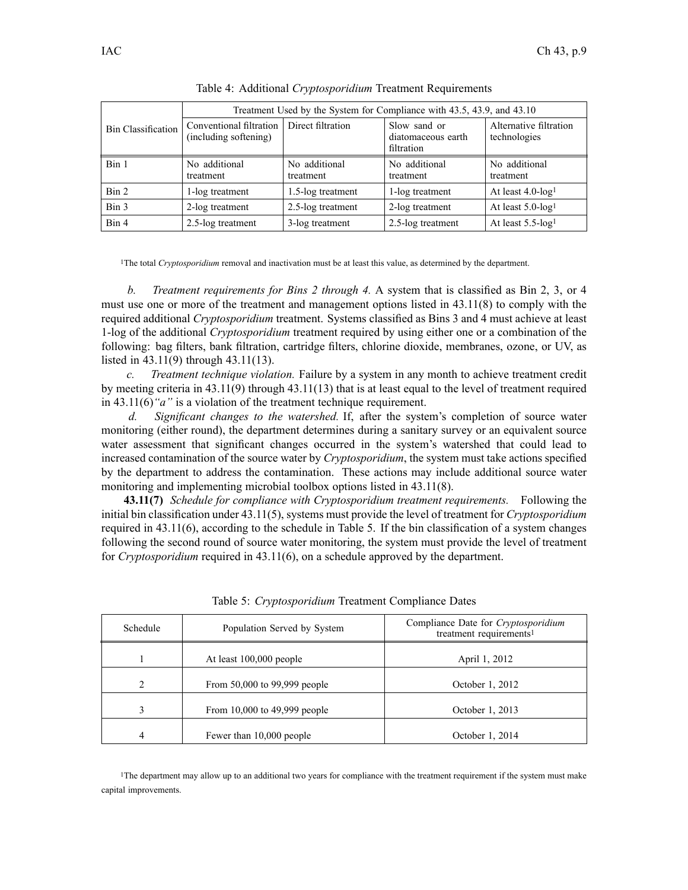|                           | Treatment Used by the System for Compliance with 43.5, 43.9, and 43.10 |                            |                                                  |                                        |
|---------------------------|------------------------------------------------------------------------|----------------------------|--------------------------------------------------|----------------------------------------|
| <b>Bin Classification</b> | Conventional filtration<br>(including softening)                       | Direct filtration          | Slow sand or<br>diatomaceous earth<br>filtration | Alternative filtration<br>technologies |
| Bin 1                     | No additional<br>treatment                                             | No additional<br>treatment | No additional<br>treatment                       | No additional<br>treatment             |
| Bin 2                     | 1-log treatment                                                        | 1.5-log treatment          | 1-log treatment                                  | At least $4.0$ -log <sup>1</sup>       |
| Bin 3                     | 2-log treatment                                                        | 2.5-log treatment          | 2-log treatment                                  | At least $5.0$ -log <sup>1</sup>       |
| Bin 4                     | 2.5-log treatment                                                      | 3-log treatment            | 2.5-log treatment                                | At least $5.5$ -log <sup>1</sup>       |

Table 4: Additional *Cryptosporidium* Treatment Requirements

<sup>1</sup>The total *Cryptosporidium* removal and inactivation must be at least this value, as determined by the department.

*b. Treatment requirements for Bins 2 through 4.* A system that is classified as Bin 2, 3, or 4 must use one or more of the treatment and managemen<sup>t</sup> options listed in 43.11(8) to comply with the required additional *Cryptosporidium* treatment. Systems classified as Bins 3 and 4 must achieve at least 1-log of the additional *Cryptosporidium* treatment required by using either one or <sup>a</sup> combination of the following: bag filters, bank filtration, cartridge filters, chlorine dioxide, membranes, ozone, or UV, as listed in 43.11(9) through 43.11(13).

*c. Treatment technique violation.* Failure by <sup>a</sup> system in any month to achieve treatment credit by meeting criteria in 43.11(9) through 43.11(13) that is at least equal to the level of treatment required in 43.11(6)*"a"* is <sup>a</sup> violation of the treatment technique requirement.

*d. Significant changes to the watershed.* If, after the system's completion of source water monitoring (either round), the department determines during <sup>a</sup> sanitary survey or an equivalent source water assessment that significant changes occurred in the system's watershed that could lead to increased contamination of the source water by *Cryptosporidium*, the system must take actions specified by the department to address the contamination. These actions may include additional source water monitoring and implementing microbial toolbox options listed in 43.11(8).

**43.11(7)** *Schedule for compliance with Cryptosporidium treatment requirements.* Following the initial bin classification under 43.11(5), systems must provide the level of treatment for *Cryptosporidium* required in 43.11(6), according to the schedule in Table 5. If the bin classification of <sup>a</sup> system changes following the second round of source water monitoring, the system must provide the level of treatment for *Cryptosporidium* required in 43.11(6), on <sup>a</sup> schedule approved by the department.

| Schedule | Population Served by System  | Compliance Date for Cryptosporidium<br>treatment requirements <sup>1</sup> |
|----------|------------------------------|----------------------------------------------------------------------------|
|          | At least $100,000$ people    | April 1, 2012                                                              |
| 2        | From 50,000 to 99,999 people | October 1, 2012                                                            |
|          | From 10,000 to 49,999 people | October 1, 2013                                                            |
| 4        | Fewer than 10,000 people     | October 1, 2014                                                            |

Table 5: *Cryptosporidium* Treatment Compliance Dates

<sup>1</sup>The department may allow up to an additional two years for compliance with the treatment requirement if the system must make capital improvements.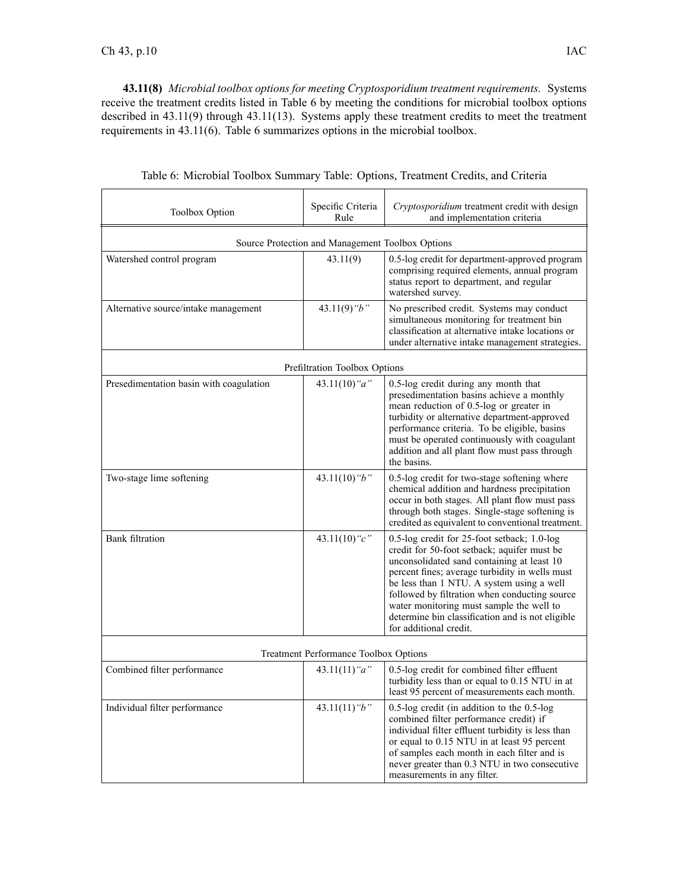**43.11(8)** *Microbial toolbox options for meeting Cryptosporidium treatment requirements.* Systems receive the treatment credits listed in Table 6 by meeting the conditions for microbial toolbox options described in 43.11(9) through 43.11(13). Systems apply these treatment credits to meet the treatment requirements in 43.11(6). Table 6 summarizes options in the microbial toolbox.

| Toolbox Option                                   | Specific Criteria<br>Rule                    | Cryptosporidium treatment credit with design<br>and implementation criteria                                                                                                                                                                                                                                                                                                                                        |  |  |
|--------------------------------------------------|----------------------------------------------|--------------------------------------------------------------------------------------------------------------------------------------------------------------------------------------------------------------------------------------------------------------------------------------------------------------------------------------------------------------------------------------------------------------------|--|--|
| Source Protection and Management Toolbox Options |                                              |                                                                                                                                                                                                                                                                                                                                                                                                                    |  |  |
| Watershed control program                        | 43.11(9)                                     | 0.5-log credit for department-approved program<br>comprising required elements, annual program<br>status report to department, and regular<br>watershed survey.                                                                                                                                                                                                                                                    |  |  |
| Alternative source/intake management             | 43.11(9) " $b$ "                             | No prescribed credit. Systems may conduct<br>simultaneous monitoring for treatment bin<br>classification at alternative intake locations or<br>under alternative intake management strategies.                                                                                                                                                                                                                     |  |  |
|                                                  | Prefiltration Toolbox Options                |                                                                                                                                                                                                                                                                                                                                                                                                                    |  |  |
| Presedimentation basin with coagulation          | 43.11(10) " $a$ "                            | 0.5-log credit during any month that<br>presedimentation basins achieve a monthly<br>mean reduction of 0.5-log or greater in<br>turbidity or alternative department-approved<br>performance criteria. To be eligible, basins<br>must be operated continuously with coagulant<br>addition and all plant flow must pass through<br>the basins.                                                                       |  |  |
| Two-stage lime softening                         | 43.11(10) " $b$ "                            | 0.5-log credit for two-stage softening where<br>chemical addition and hardness precipitation<br>occur in both stages. All plant flow must pass<br>through both stages. Single-stage softening is<br>credited as equivalent to conventional treatment.                                                                                                                                                              |  |  |
| <b>Bank</b> filtration                           | 43.11(10) " $c$ "                            | 0.5-log credit for 25-foot setback; 1.0-log<br>credit for 50-foot setback; aquifer must be<br>unconsolidated sand containing at least 10<br>percent fines; average turbidity in wells must<br>be less than 1 NTU. A system using a well<br>followed by filtration when conducting source<br>water monitoring must sample the well to<br>determine bin classification and is not eligible<br>for additional credit. |  |  |
|                                                  | <b>Treatment Performance Toolbox Options</b> |                                                                                                                                                                                                                                                                                                                                                                                                                    |  |  |
| Combined filter performance                      | 43.11(11) " $a$ "                            | 0.5-log credit for combined filter effluent<br>turbidity less than or equal to 0.15 NTU in at<br>least 95 percent of measurements each month.                                                                                                                                                                                                                                                                      |  |  |
| Individual filter performance                    | 43.11(11) " $b$ "                            | $0.5$ -log credit (in addition to the $0.5$ -log<br>combined filter performance credit) if<br>individual filter effluent turbidity is less than<br>or equal to 0.15 NTU in at least 95 percent<br>of samples each month in each filter and is<br>never greater than 0.3 NTU in two consecutive<br>measurements in any filter.                                                                                      |  |  |

Table 6: Microbial Toolbox Summary Table: Options, Treatment Credits, and Criteria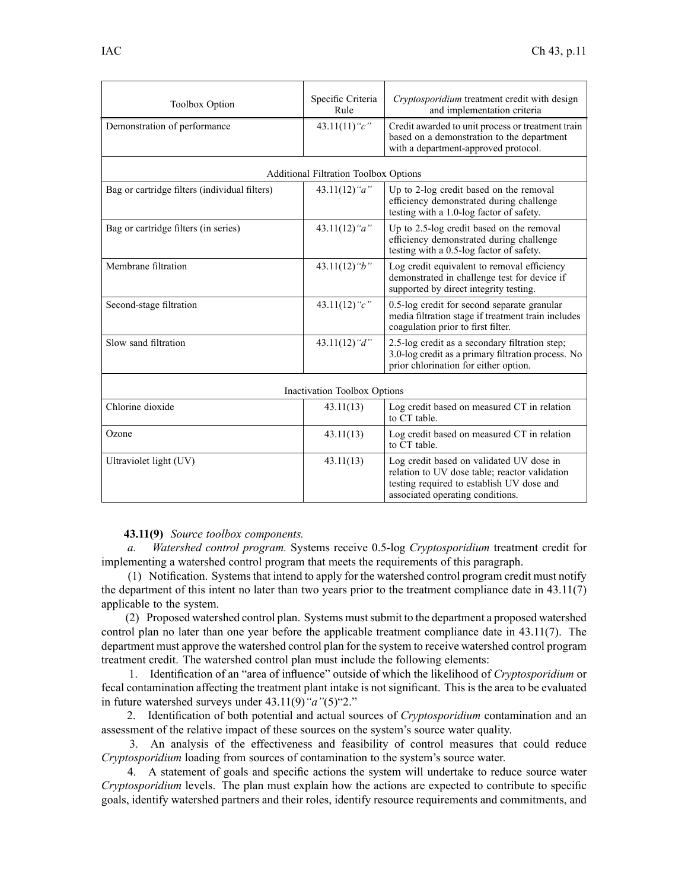| <b>Toolbox Option</b>                         | Specific Criteria                            | Cryptosporidium treatment credit with design                                                                                                                               |  |
|-----------------------------------------------|----------------------------------------------|----------------------------------------------------------------------------------------------------------------------------------------------------------------------------|--|
|                                               | Rule                                         | and implementation criteria                                                                                                                                                |  |
| Demonstration of performance                  | 43.11(11) " $c$ "                            | Credit awarded to unit process or treatment train<br>based on a demonstration to the department<br>with a department-approved protocol.                                    |  |
|                                               | <b>Additional Filtration Toolbox Options</b> |                                                                                                                                                                            |  |
| Bag or cartridge filters (individual filters) | 43.11(12) " $a$ "                            | Up to 2-log credit based on the removal<br>efficiency demonstrated during challenge<br>testing with a 1.0-log factor of safety.                                            |  |
| Bag or cartridge filters (in series)          | 43.11(12) " $a$ "                            | Up to 2.5-log credit based on the removal<br>efficiency demonstrated during challenge<br>testing with a 0.5-log factor of safety.                                          |  |
| Membrane filtration                           | 43.11(12) " $b$ "                            | Log credit equivalent to removal efficiency<br>demonstrated in challenge test for device if<br>supported by direct integrity testing.                                      |  |
| Second-stage filtration                       | 43.11(12) " $c$ "                            | 0.5-log credit for second separate granular<br>media filtration stage if treatment train includes<br>coagulation prior to first filter.                                    |  |
| Slow sand filtration                          | 43.11(12) "d"                                | 2.5-log credit as a secondary filtration step;<br>3.0-log credit as a primary filtration process. No<br>prior chlorination for either option.                              |  |
| Inactivation Toolbox Options                  |                                              |                                                                                                                                                                            |  |
| Chlorine dioxide                              | 43.11(13)                                    | Log credit based on measured CT in relation<br>to CT table.                                                                                                                |  |
| Ozone                                         | 43.11(13)                                    | Log credit based on measured CT in relation<br>to CT table.                                                                                                                |  |
| Ultraviolet light (UV)                        | 43.11(13)                                    | Log credit based on validated UV dose in<br>relation to UV dose table; reactor validation<br>testing required to establish UV dose and<br>associated operating conditions. |  |

# **43.11(9)** *Source toolbox components.*

*a. Watershed control program.* Systems receive 0.5-log *Cryptosporidium* treatment credit for implementing <sup>a</sup> watershed control program that meets the requirements of this paragraph.

(1) Notification. Systemsthat intend to apply for the watershed control program credit must notify the department of this intent no later than two years prior to the treatment compliance date in 43.11(7) applicable to the system.

(2) Proposed watershed control plan. Systems mustsubmit to the department <sup>a</sup> proposed watershed control plan no later than one year before the applicable treatment compliance date in 43.11(7). The department must approve the watershed control plan for the system to receive watershed control program treatment credit. The watershed control plan must include the following elements:

1. Identification of an "area of influence" outside of which the likelihood of *Cryptosporidium* or fecal contamination affecting the treatment plant intake is not significant. This is the area to be evaluated in future watershed surveys under 43.11(9)*"a"*(5)"2."

2. Identification of both potential and actual sources of *Cryptosporidium* contamination and an assessment of the relative impact of these sources on the system's source water quality.

3. An analysis of the effectiveness and feasibility of control measures that could reduce *Cryptosporidium* loading from sources of contamination to the system's source water.

4. A statement of goals and specific actions the system will undertake to reduce source water *Cryptosporidium* levels. The plan must explain how the actions are expected to contribute to specific goals, identify watershed partners and their roles, identify resource requirements and commitments, and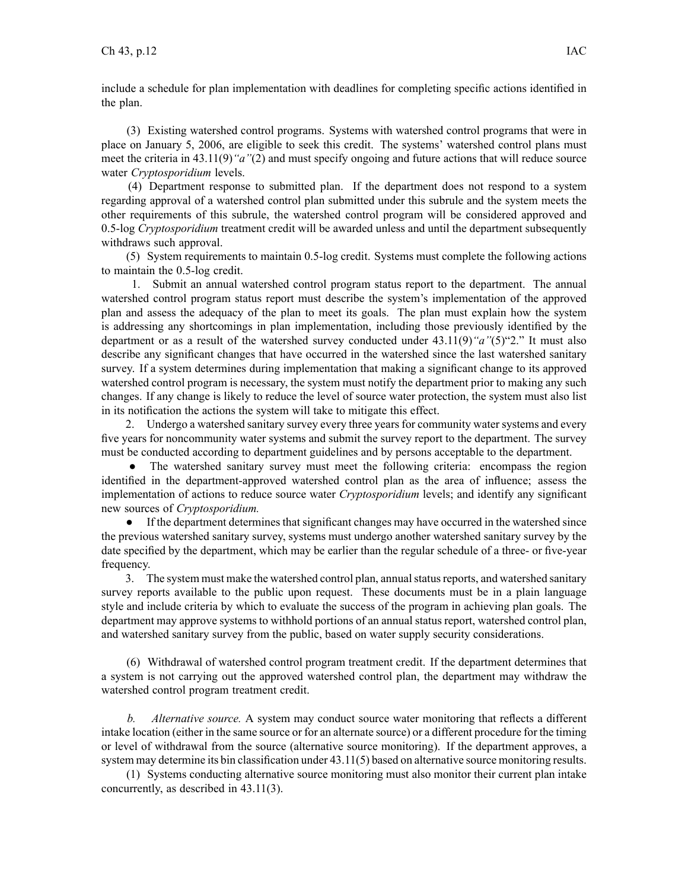include <sup>a</sup> schedule for plan implementation with deadlines for completing specific actions identified in the plan.

(3) Existing watershed control programs. Systems with watershed control programs that were in place on January 5, 2006, are eligible to seek this credit. The systems' watershed control plans must meet the criteria in 43.11(9)*"a"*(2) and must specify ongoing and future actions that will reduce source water *Cryptosporidium* levels.

(4) Department response to submitted plan. If the department does not respond to <sup>a</sup> system regarding approval of <sup>a</sup> watershed control plan submitted under this subrule and the system meets the other requirements of this subrule, the watershed control program will be considered approved and 0.5-log *Cryptosporidium* treatment credit will be awarded unless and until the department subsequently withdraws such approval.

(5) System requirements to maintain 0.5-log credit. Systems must complete the following actions to maintain the 0.5-log credit.

1. Submit an annual watershed control program status repor<sup>t</sup> to the department. The annual watershed control program status repor<sup>t</sup> must describe the system's implementation of the approved plan and assess the adequacy of the plan to meet its goals. The plan must explain how the system is addressing any shortcomings in plan implementation, including those previously identified by the department or as <sup>a</sup> result of the watershed survey conducted under 43.11(9)*"a"*(5)"2." It must also describe any significant changes that have occurred in the watershed since the last watershed sanitary survey. If <sup>a</sup> system determines during implementation that making <sup>a</sup> significant change to its approved watershed control program is necessary, the system must notify the department prior to making any such changes. If any change is likely to reduce the level of source water protection, the system must also list in its notification the actions the system will take to mitigate this effect.

2. Undergo a watershed sanitary survey every three years for community water systems and every five years for noncommunity water systems and submit the survey repor<sup>t</sup> to the department. The survey must be conducted according to department guidelines and by persons acceptable to the department.

● The watershed sanitary survey must meet the following criteria: encompass the region identified in the department-approved watershed control plan as the area of influence; assess the implementation of actions to reduce source water *Cryptosporidium* levels; and identify any significant new sources of *Cryptosporidium.*

● If the department determines that significant changes may have occurred in the watershed since the previous watershed sanitary survey, systems must undergo another watershed sanitary survey by the date specified by the department, which may be earlier than the regular schedule of <sup>a</sup> three- or five-year frequency.

3. The system must make the watershed control plan, annual status reports, and watershed sanitary survey reports available to the public upon request. These documents must be in <sup>a</sup> plain language style and include criteria by which to evaluate the success of the program in achieving plan goals. The department may approve systems to withhold portions of an annual status report, watershed control plan, and watershed sanitary survey from the public, based on water supply security considerations.

(6) Withdrawal of watershed control program treatment credit. If the department determines that <sup>a</sup> system is not carrying out the approved watershed control plan, the department may withdraw the watershed control program treatment credit.

*b. Alternative source.* A system may conduct source water monitoring that reflects <sup>a</sup> different intake location (either in the same source or for an alternate source) or <sup>a</sup> different procedure for the timing or level of withdrawal from the source (alternative source monitoring). If the department approves, <sup>a</sup> system may determine its bin classification under 43.11(5) based on alternative source monitoring results.

(1) Systems conducting alternative source monitoring must also monitor their current plan intake concurrently, as described in 43.11(3).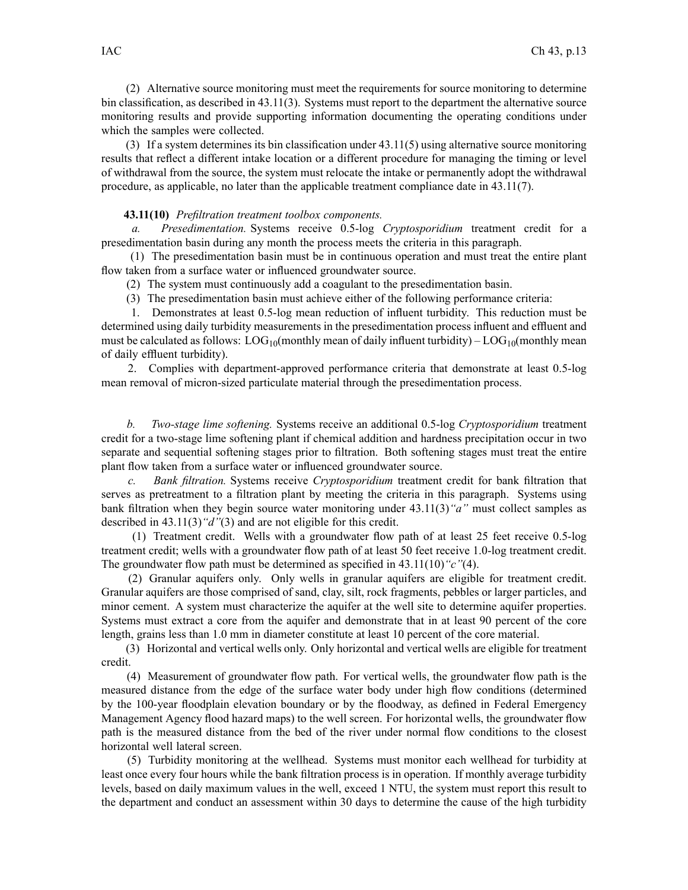(2) Alternative source monitoring must meet the requirements for source monitoring to determine bin classification, as described in 43.11(3). Systems must repor<sup>t</sup> to the department the alternative source monitoring results and provide supporting information documenting the operating conditions under which the samples were collected.

(3) If <sup>a</sup> system determines its bin classification under 43.11(5) using alternative source monitoring results that reflect <sup>a</sup> different intake location or <sup>a</sup> different procedure for managing the timing or level of withdrawal from the source, the system must relocate the intake or permanently adopt the withdrawal procedure, as applicable, no later than the applicable treatment compliance date in 43.11(7).

#### **43.11(10)** *Prefiltration treatment toolbox components.*

*a. Presedimentation.* Systems receive 0.5-log *Cryptosporidium* treatment credit for <sup>a</sup> presedimentation basin during any month the process meets the criteria in this paragraph.

(1) The presedimentation basin must be in continuous operation and must treat the entire plant flow taken from <sup>a</sup> surface water or influenced groundwater source.

(2) The system must continuously add <sup>a</sup> coagulant to the presedimentation basin.

(3) The presedimentation basin must achieve either of the following performance criteria:

1. Demonstrates at least 0.5-log mean reduction of influent turbidity. This reduction must be determined using daily turbidity measurements in the presedimentation process influent and effluent and must be calculated as follows:  $LOG_{10}($  monthly mean of daily influent turbidity) –  $LOG_{10}($  monthly mean of daily effluent turbidity).

2. Complies with department-approved performance criteria that demonstrate at least 0.5-log mean removal of micron-sized particulate material through the presedimentation process.

*b. Two-stage lime softening.* Systems receive an additional 0.5-log *Cryptosporidium* treatment credit for <sup>a</sup> two-stage lime softening plant if chemical addition and hardness precipitation occur in two separate and sequential softening stages prior to filtration. Both softening stages must treat the entire plant flow taken from <sup>a</sup> surface water or influenced groundwater source.

*c. Bank filtration.* Systems receive *Cryptosporidium* treatment credit for bank filtration that serves as pretreatment to <sup>a</sup> filtration plant by meeting the criteria in this paragraph. Systems using bank filtration when they begin source water monitoring under 43.11(3)*"a"* must collect samples as described in 43.11(3)*"d"*(3) and are not eligible for this credit.

(1) Treatment credit. Wells with <sup>a</sup> groundwater flow path of at least 25 feet receive 0.5-log treatment credit; wells with <sup>a</sup> groundwater flow path of at least 50 feet receive 1.0-log treatment credit. The groundwater flow path must be determined as specified in 43.11(10)*"c"*(4).

(2) Granular aquifers only. Only wells in granular aquifers are eligible for treatment credit. Granular aquifers are those comprised of sand, clay, silt, rock fragments, pebbles or larger particles, and minor cement. A system must characterize the aquifer at the well site to determine aquifer properties. Systems must extract <sup>a</sup> core from the aquifer and demonstrate that in at least 90 percen<sup>t</sup> of the core length, grains less than 1.0 mm in diameter constitute at least 10 percen<sup>t</sup> of the core material.

(3) Horizontal and vertical wells only. Only horizontal and vertical wells are eligible for treatment credit.

(4) Measurement of groundwater flow path. For vertical wells, the groundwater flow path is the measured distance from the edge of the surface water body under high flow conditions (determined by the 100-year floodplain elevation boundary or by the floodway, as defined in Federal Emergency Management Agency flood hazard maps) to the well screen. For horizontal wells, the groundwater flow path is the measured distance from the bed of the river under normal flow conditions to the closest horizontal well lateral screen.

(5) Turbidity monitoring at the wellhead. Systems must monitor each wellhead for turbidity at least once every four hours while the bank filtration process is in operation. If monthly average turbidity levels, based on daily maximum values in the well, exceed 1 NTU, the system must repor<sup>t</sup> this result to the department and conduct an assessment within 30 days to determine the cause of the high turbidity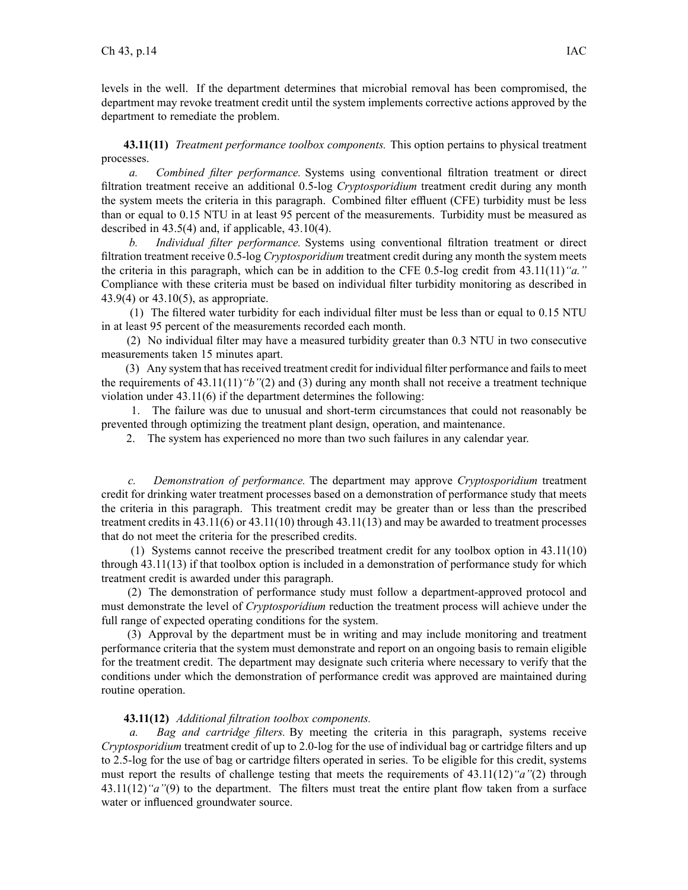levels in the well. If the department determines that microbial removal has been compromised, the department may revoke treatment credit until the system implements corrective actions approved by the department to remediate the problem.

**43.11(11)** *Treatment performance toolbox components.* This option pertains to physical treatment processes.

*a. Combined filter performance.* Systems using conventional filtration treatment or direct filtration treatment receive an additional 0.5-log *Cryptosporidium* treatment credit during any month the system meets the criteria in this paragraph. Combined filter effluent (CFE) turbidity must be less than or equal to 0.15 NTU in at least 95 percen<sup>t</sup> of the measurements. Turbidity must be measured as described in 43.5(4) and, if applicable, 43.10(4).

*b. Individual filter performance.* Systems using conventional filtration treatment or direct filtration treatment receive 0.5-log *Cryptosporidium* treatment credit during any month the system meets the criteria in this paragraph, which can be in addition to the CFE 0.5-log credit from 43.11(11)*"a."* Compliance with these criteria must be based on individual filter turbidity monitoring as described in 43.9(4) or 43.10(5), as appropriate.

(1) The filtered water turbidity for each individual filter must be less than or equal to 0.15 NTU in at least 95 percen<sup>t</sup> of the measurements recorded each month.

(2) No individual filter may have <sup>a</sup> measured turbidity greater than 0.3 NTU in two consecutive measurements taken 15 minutes apart.

(3) Any system that hasreceived treatment credit for individual filter performance and failsto meet the requirements of 43.11(11)*"b"*(2) and (3) during any month shall not receive <sup>a</sup> treatment technique violation under 43.11(6) if the department determines the following:

1. The failure was due to unusual and short-term circumstances that could not reasonably be prevented through optimizing the treatment plant design, operation, and maintenance.

2. The system has experienced no more than two such failures in any calendar year.

*c. Demonstration of performance.* The department may approve *Cryptosporidium* treatment credit for drinking water treatment processes based on <sup>a</sup> demonstration of performance study that meets the criteria in this paragraph. This treatment credit may be greater than or less than the prescribed treatment credits in 43.11(6) or 43.11(10) through 43.11(13) and may be awarded to treatment processes that do not meet the criteria for the prescribed credits.

(1) Systems cannot receive the prescribed treatment credit for any toolbox option in 43.11(10) through 43.11(13) if that toolbox option is included in <sup>a</sup> demonstration of performance study for which treatment credit is awarded under this paragraph.

(2) The demonstration of performance study must follow <sup>a</sup> department-approved protocol and must demonstrate the level of *Cryptosporidium* reduction the treatment process will achieve under the full range of expected operating conditions for the system.

(3) Approval by the department must be in writing and may include monitoring and treatment performance criteria that the system must demonstrate and repor<sup>t</sup> on an ongoing basis to remain eligible for the treatment credit. The department may designate such criteria where necessary to verify that the conditions under which the demonstration of performance credit was approved are maintained during routine operation.

# **43.11(12)** *Additional filtration toolbox components.*

*a. Bag and cartridge filters.* By meeting the criteria in this paragraph, systems receive *Cryptosporidium* treatment credit of up to 2.0-log for the use of individual bag or cartridge filters and up to 2.5-log for the use of bag or cartridge filters operated in series. To be eligible for this credit, systems must repor<sup>t</sup> the results of challenge testing that meets the requirements of 43.11(12)*"a"*(2) through 43.11(12)*"a"*(9) to the department. The filters must treat the entire plant flow taken from <sup>a</sup> surface water or influenced groundwater source.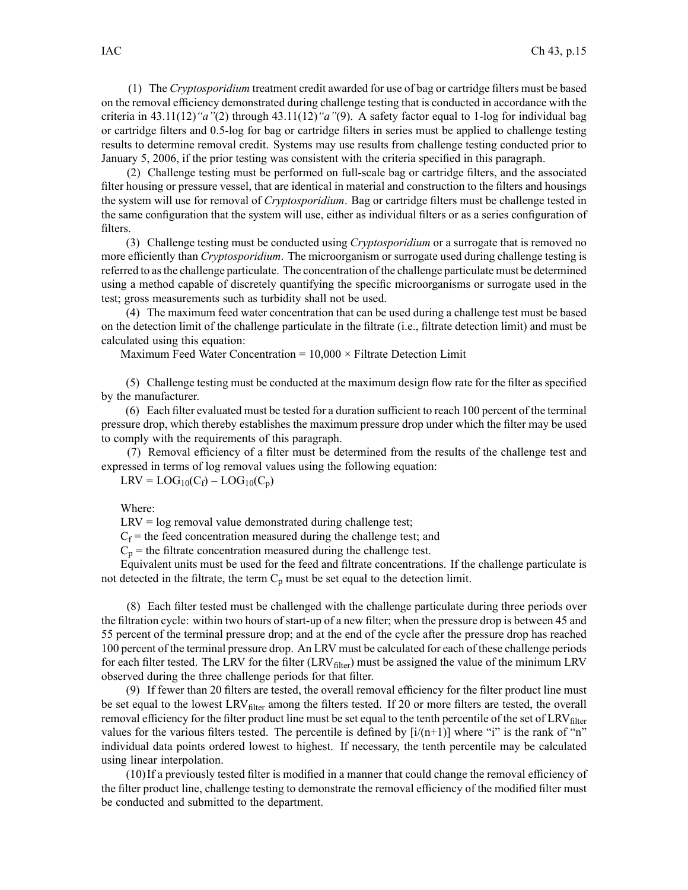(1) The *Cryptosporidium* treatment credit awarded for use of bag or cartridge filters must be based on the removal efficiency demonstrated during challenge testing that is conducted in accordance with the criteria in 43.11(12)*"a"*(2) through 43.11(12)*"a"*(9). A safety factor equal to 1-log for individual bag or cartridge filters and 0.5-log for bag or cartridge filters in series must be applied to challenge testing results to determine removal credit. Systems may use results from challenge testing conducted prior to January 5, 2006, if the prior testing was consistent with the criteria specified in this paragraph.

(2) Challenge testing must be performed on full-scale bag or cartridge filters, and the associated filter housing or pressure vessel, that are identical in material and construction to the filters and housings the system will use for removal of *Cryptosporidium*. Bag or cartridge filters must be challenge tested in the same configuration that the system will use, either as individual filters or as <sup>a</sup> series configuration of filters.

(3) Challenge testing must be conducted using *Cryptosporidium* or <sup>a</sup> surrogate that is removed no more efficiently than *Cryptosporidium*. The microorganism or surrogate used during challenge testing is referred to asthe challenge particulate. The concentration of the challenge particulate must be determined using <sup>a</sup> method capable of discretely quantifying the specific microorganisms or surrogate used in the test; gross measurements such as turbidity shall not be used.

(4) The maximum feed water concentration that can be used during <sup>a</sup> challenge test must be based on the detection limit of the challenge particulate in the filtrate (i.e., filtrate detection limit) and must be calculated using this equation:

Maximum Feed Water Concentration =  $10,000 \times$  Filtrate Detection Limit

(5) Challenge testing must be conducted at the maximum design flow rate for the filter as specified by the manufacturer.

(6) Each filter evaluated must be tested for <sup>a</sup> duration sufficient to reach 100 percen<sup>t</sup> of the terminal pressure drop, which thereby establishes the maximum pressure drop under which the filter may be used to comply with the requirements of this paragraph.

(7) Removal efficiency of <sup>a</sup> filter must be determined from the results of the challenge test and expressed in terms of log removal values using the following equation:

 $LRV = LOG_{10}(C_f) - LOG_{10}(C_p)$ 

Where:

 $LRV = log$  removal value demonstrated during challenge test;

 $C_f$  = the feed concentration measured during the challenge test; and

 $C_p$  = the filtrate concentration measured during the challenge test.

Equivalent units must be used for the feed and filtrate concentrations. If the challenge particulate is not detected in the filtrate, the term  $C_p$  must be set equal to the detection limit.

(8) Each filter tested must be challenged with the challenge particulate during three periods over the filtration cycle: within two hours of start-up of <sup>a</sup> new filter; when the pressure drop is between 45 and 55 percen<sup>t</sup> of the terminal pressure drop; and at the end of the cycle after the pressure drop has reached 100 percen<sup>t</sup> of the terminal pressure drop. An LRV must be calculated for each of these challenge periods for each filter tested. The LRV for the filter  $(LRV<sub>filter</sub>)$  must be assigned the value of the minimum LRV observed during the three challenge periods for that filter.

(9) If fewer than 20 filters are tested, the overall removal efficiency for the filter product line must be set equal to the lowest LRV<sub>filter</sub> among the filters tested. If 20 or more filters are tested, the overall removal efficiency for the filter product line must be set equal to the tenth percentile of the set of  $LRV<sub>filter</sub>$ values for the various filters tested. The percentile is defined by  $[i/(n+1)]$  where "i" is the rank of "n" individual data points ordered lowest to highest. If necessary, the tenth percentile may be calculated using linear interpolation.

(10)If <sup>a</sup> previously tested filter is modified in <sup>a</sup> manner that could change the removal efficiency of the filter product line, challenge testing to demonstrate the removal efficiency of the modified filter must be conducted and submitted to the department.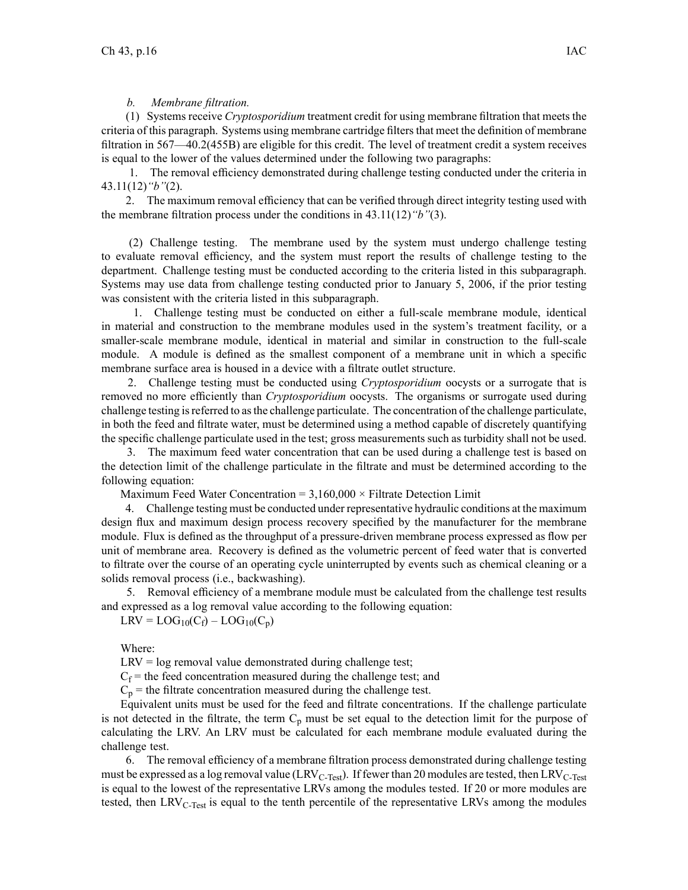### *b. Membrane filtration.*

(1) Systems receive *Cryptosporidium* treatment credit for using membrane filtration that meets the criteria of this paragraph. Systems using membrane cartridge filters that meet the definition of membrane filtration in 567—40.2(455B) are eligible for this credit. The level of treatment credit <sup>a</sup> system receives is equal to the lower of the values determined under the following two paragraphs:

1. The removal efficiency demonstrated during challenge testing conducted under the criteria in 43.11(12)*"b"*(2).

2. The maximum removal efficiency that can be verified through direct integrity testing used with the membrane filtration process under the conditions in 43.11(12)*"b"*(3).

(2) Challenge testing. The membrane used by the system must undergo challenge testing to evaluate removal efficiency, and the system must repor<sup>t</sup> the results of challenge testing to the department. Challenge testing must be conducted according to the criteria listed in this subparagraph. Systems may use data from challenge testing conducted prior to January 5, 2006, if the prior testing was consistent with the criteria listed in this subparagraph.

1. Challenge testing must be conducted on either <sup>a</sup> full-scale membrane module, identical in material and construction to the membrane modules used in the system's treatment facility, or <sup>a</sup> smaller-scale membrane module, identical in material and similar in construction to the full-scale module. A module is defined as the smallest componen<sup>t</sup> of <sup>a</sup> membrane unit in which <sup>a</sup> specific membrane surface area is housed in <sup>a</sup> device with <sup>a</sup> filtrate outlet structure.

2. Challenge testing must be conducted using *Cryptosporidium* oocysts or <sup>a</sup> surrogate that is removed no more efficiently than *Cryptosporidium* oocysts. The organisms or surrogate used during challenge testing isreferred to asthe challenge particulate. The concentration of the challenge particulate, in both the feed and filtrate water, must be determined using <sup>a</sup> method capable of discretely quantifying the specific challenge particulate used in the test; gross measurements such as turbidity shall not be used.

3. The maximum feed water concentration that can be used during <sup>a</sup> challenge test is based on the detection limit of the challenge particulate in the filtrate and must be determined according to the following equation:

Maximum Feed Water Concentration =  $3,160,000 \times$  Filtrate Detection Limit

4. Challenge testing must be conducted under representative hydraulic conditions at the maximum design flux and maximum design process recovery specified by the manufacturer for the membrane module. Flux is defined as the throughput of <sup>a</sup> pressure-driven membrane process expressed as flow per unit of membrane area. Recovery is defined as the volumetric percen<sup>t</sup> of feed water that is converted to filtrate over the course of an operating cycle uninterrupted by events such as chemical cleaning or <sup>a</sup> solids removal process (i.e., backwashing).

5. Removal efficiency of <sup>a</sup> membrane module must be calculated from the challenge test results and expressed as <sup>a</sup> log removal value according to the following equation:

 $LRV = LOG_{10}(C_f) - LOG_{10}(C_n)$ 

Where:

 $LRV = log$  removal value demonstrated during challenge test;

 $C_f$  = the feed concentration measured during the challenge test; and

 $C_p$  = the filtrate concentration measured during the challenge test.

Equivalent units must be used for the feed and filtrate concentrations. If the challenge particulate is not detected in the filtrate, the term  $C_p$  must be set equal to the detection limit for the purpose of calculating the LRV. An LRV must be calculated for each membrane module evaluated during the challenge test.

6. The removal efficiency of <sup>a</sup> membrane filtration process demonstrated during challenge testing must be expressed as a log removal value (LRV<sub>C-Test</sub>). If fewer than 20 modules are tested, then LRV<sub>C-Test</sub> is equal to the lowest of the representative LRVs among the modules tested. If 20 or more modules are tested, then LRV<sub>C-Test</sub> is equal to the tenth percentile of the representative LRVs among the modules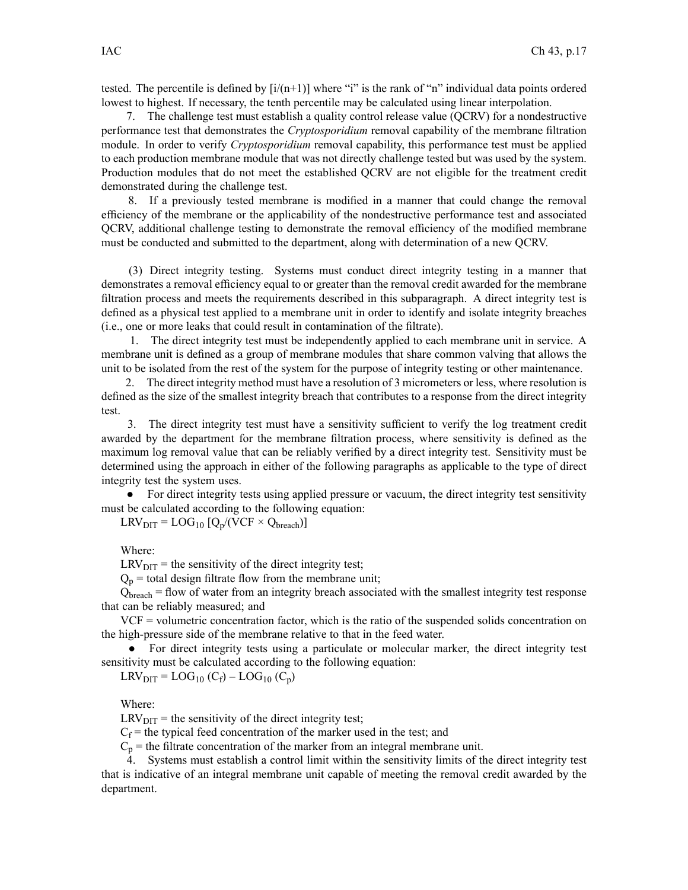tested. The percentile is defined by  $[i/(n+1)]$  where "i" is the rank of "n" individual data points ordered lowest to highest. If necessary, the tenth percentile may be calculated using linear interpolation.

7. The challenge test must establish <sup>a</sup> quality control release value (QCRV) for <sup>a</sup> nondestructive performance test that demonstrates the *Cryptosporidium* removal capability of the membrane filtration module. In order to verify *Cryptosporidium* removal capability, this performance test must be applied to each production membrane module that was not directly challenge tested but was used by the system. Production modules that do not meet the established QCRV are not eligible for the treatment credit demonstrated during the challenge test.

8. If <sup>a</sup> previously tested membrane is modified in <sup>a</sup> manner that could change the removal efficiency of the membrane or the applicability of the nondestructive performance test and associated QCRV, additional challenge testing to demonstrate the removal efficiency of the modified membrane must be conducted and submitted to the department, along with determination of <sup>a</sup> new QCRV.

(3) Direct integrity testing. Systems must conduct direct integrity testing in <sup>a</sup> manner that demonstrates <sup>a</sup> removal efficiency equal to or greater than the removal credit awarded for the membrane filtration process and meets the requirements described in this subparagraph. A direct integrity test is defined as <sup>a</sup> physical test applied to <sup>a</sup> membrane unit in order to identify and isolate integrity breaches (i.e., one or more leaks that could result in contamination of the filtrate).

1. The direct integrity test must be independently applied to each membrane unit in service. A membrane unit is defined as <sup>a</sup> group of membrane modules that share common valving that allows the unit to be isolated from the rest of the system for the purpose of integrity testing or other maintenance.

2. The direct integrity method must have <sup>a</sup> resolution of 3 micrometers or less, where resolution is defined as the size of the smallest integrity breach that contributes to <sup>a</sup> response from the direct integrity test.

3. The direct integrity test must have <sup>a</sup> sensitivity sufficient to verify the log treatment credit awarded by the department for the membrane filtration process, where sensitivity is defined as the maximum log removal value that can be reliably verified by <sup>a</sup> direct integrity test. Sensitivity must be determined using the approach in either of the following paragraphs as applicable to the type of direct integrity test the system uses.

• For direct integrity tests using applied pressure or vacuum, the direct integrity test sensitivity must be calculated according to the following equation:

 $LRV_{DIT} = LOG_{10} [Q_p/(VCF \times Q_{breakh})]$ 

Where:

 $LRV<sub>DIT</sub>$  = the sensitivity of the direct integrity test;

 $Q_p$  = total design filtrate flow from the membrane unit;

Qbreach <sup>=</sup> flow of water from an integrity breach associated with the smallest integrity test response that can be reliably measured; and

VCF <sup>=</sup> volumetric concentration factor, which is the ratio of the suspended solids concentration on the high-pressure side of the membrane relative to that in the feed water.

● For direct integrity tests using <sup>a</sup> particulate or molecular marker, the direct integrity test sensitivity must be calculated according to the following equation:

 $LRV_{\text{DIT}} = LOG_{10} (C_f) - LOG_{10} (C_p)$ 

Where:

 $LRV<sub>DIT</sub>$  = the sensitivity of the direct integrity test;

 $C_f$  = the typical feed concentration of the marker used in the test; and

 $C_p$  = the filtrate concentration of the marker from an integral membrane unit.

4. Systems must establish <sup>a</sup> control limit within the sensitivity limits of the direct integrity test that is indicative of an integral membrane unit capable of meeting the removal credit awarded by the department.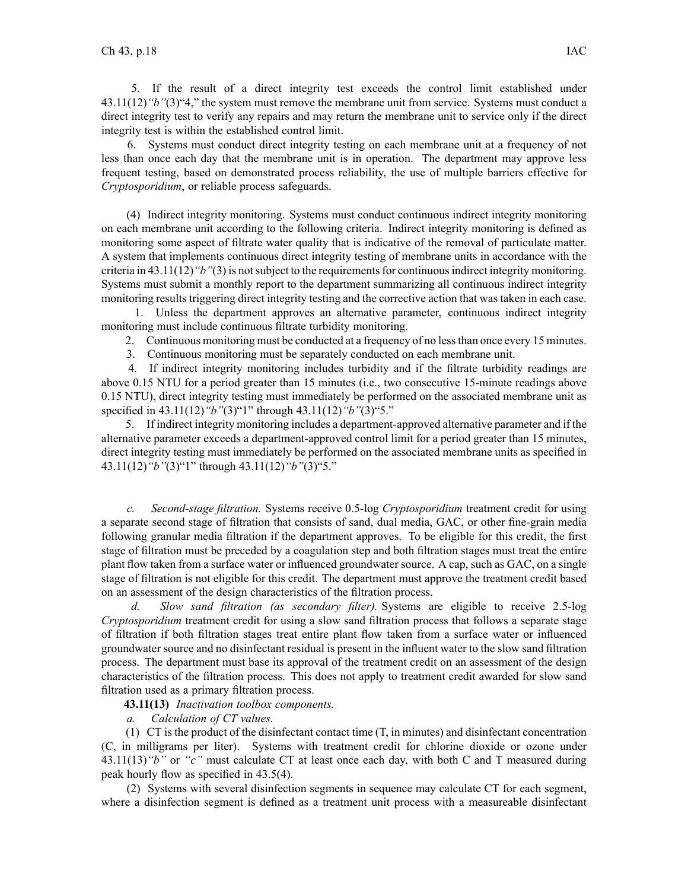5. If the result of <sup>a</sup> direct integrity test exceeds the control limit established under 43.11(12)*"b"*(3)"4," the system must remove the membrane unit from service. Systems must conduct <sup>a</sup> direct integrity test to verify any repairs and may return the membrane unit to service only if the direct integrity test is within the established control limit.

6. Systems must conduct direct integrity testing on each membrane unit at <sup>a</sup> frequency of not less than once each day that the membrane unit is in operation. The department may approve less frequent testing, based on demonstrated process reliability, the use of multiple barriers effective for *Cryptosporidium*, or reliable process safeguards.

(4) Indirect integrity monitoring. Systems must conduct continuous indirect integrity monitoring on each membrane unit according to the following criteria. Indirect integrity monitoring is defined as monitoring some aspec<sup>t</sup> of filtrate water quality that is indicative of the removal of particulate matter. A system that implements continuous direct integrity testing of membrane units in accordance with the criteria in 43.11(12)*"b"*(3) is notsubject to the requirementsfor continuousindirect integrity monitoring. Systems must submit <sup>a</sup> monthly repor<sup>t</sup> to the department summarizing all continuous indirect integrity monitoring results triggering direct integrity testing and the corrective action that was taken in each case.

1. Unless the department approves an alternative parameter, continuous indirect integrity monitoring must include continuous filtrate turbidity monitoring.

2. Continuous monitoring must be conducted at <sup>a</sup> frequency of no lessthan once every 15 minutes.

3. Continuous monitoring must be separately conducted on each membrane unit.

4. If indirect integrity monitoring includes turbidity and if the filtrate turbidity readings are above 0.15 NTU for <sup>a</sup> period greater than 15 minutes (i.e., two consecutive 15-minute readings above 0.15 NTU), direct integrity testing must immediately be performed on the associated membrane unit as specified in 43.11(12)*"b"*(3)"1" through 43.11(12)*"b"*(3)"5."

5. If indirect integrity monitoring includes <sup>a</sup> department-approved alternative parameter and if the alternative parameter exceeds <sup>a</sup> department-approved control limit for <sup>a</sup> period greater than 15 minutes, direct integrity testing must immediately be performed on the associated membrane units as specified in 43.11(12)*"b"*(3)"1" through 43.11(12)*"b"*(3)"5."

*c. Second-stage filtration.* Systems receive 0.5-log *Cryptosporidium* treatment credit for using <sup>a</sup> separate second stage of filtration that consists of sand, dual media, GAC, or other fine-grain media following granular media filtration if the department approves. To be eligible for this credit, the first stage of filtration must be preceded by <sup>a</sup> coagulation step and both filtration stages must treat the entire plant flow taken from <sup>a</sup> surface water or influenced groundwater source. A cap, such as GAC, on <sup>a</sup> single stage of filtration is not eligible for this credit. The department must approve the treatment credit based on an assessment of the design characteristics of the filtration process.

*d. Slow sand filtration (as secondary filter).* Systems are eligible to receive 2.5-log *Cryptosporidium* treatment credit for using <sup>a</sup> slow sand filtration process that follows <sup>a</sup> separate stage of filtration if both filtration stages treat entire plant flow taken from <sup>a</sup> surface water or influenced groundwater source and no disinfectant residual is presen<sup>t</sup> in the influent water to the slow sand filtration process. The department must base its approval of the treatment credit on an assessment of the design characteristics of the filtration process. This does not apply to treatment credit awarded for slow sand filtration used as <sup>a</sup> primary filtration process.

**43.11(13)** *Inactivation toolbox components.*

*a. Calculation of CT values.*

(1) CT is the product of the disinfectant contact time (T, in minutes) and disinfectant concentration (C, in milligrams per liter). Systems with treatment credit for chlorine dioxide or ozone under 43.11(13)*"b"* or *"c"* must calculate CT at least once each day, with both C and T measured during peak hourly flow as specified in 43.5(4).

(2) Systems with several disinfection segments in sequence may calculate CT for each segment, where <sup>a</sup> disinfection segmen<sup>t</sup> is defined as <sup>a</sup> treatment unit process with <sup>a</sup> measureable disinfectant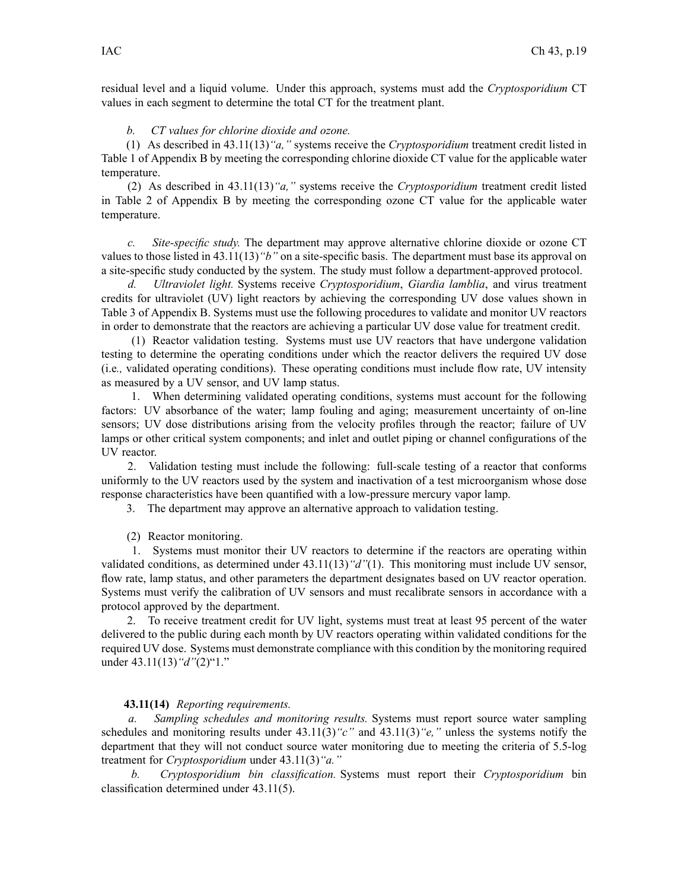residual level and <sup>a</sup> liquid volume. Under this approach, systems must add the *Cryptosporidium* CT values in each segmen<sup>t</sup> to determine the total CT for the treatment plant.

### *b. CT values for chlorine dioxide and ozone.*

(1) As described in 43.11(13)*"a,"* systems receive the *Cryptosporidium* treatment credit listed in Table 1 of Appendix B by meeting the corresponding chlorine dioxide CT value for the applicable water temperature.

(2) As described in 43.11(13)*"a,"* systems receive the *Cryptosporidium* treatment credit listed in Table 2 of Appendix B by meeting the corresponding ozone CT value for the applicable water temperature.

*c. Site-specific study.* The department may approve alternative chlorine dioxide or ozone CT values to those listed in 43.11(13)*"b"* on <sup>a</sup> site-specific basis. The department must base its approval on <sup>a</sup> site-specific study conducted by the system. The study must follow <sup>a</sup> department-approved protocol.

*d. Ultraviolet light.* Systems receive *Cryptosporidium*, *Giardia lamblia*, and virus treatment credits for ultraviolet (UV) light reactors by achieving the corresponding UV dose values shown in Table 3 of Appendix B. Systems must use the following procedures to validate and monitor UV reactors in order to demonstrate that the reactors are achieving <sup>a</sup> particular UV dose value for treatment credit.

(1) Reactor validation testing. Systems must use UV reactors that have undergone validation testing to determine the operating conditions under which the reactor delivers the required UV dose (i.e*.,* validated operating conditions). These operating conditions must include flow rate, UV intensity as measured by <sup>a</sup> UV sensor, and UV lamp status.

1. When determining validated operating conditions, systems must account for the following factors: UV absorbance of the water; lamp fouling and aging; measurement uncertainty of on-line sensors; UV dose distributions arising from the velocity profiles through the reactor; failure of UV lamps or other critical system components; and inlet and outlet piping or channel configurations of the UV reactor.

2. Validation testing must include the following: full-scale testing of <sup>a</sup> reactor that conforms uniformly to the UV reactors used by the system and inactivation of <sup>a</sup> test microorganism whose dose response characteristics have been quantified with <sup>a</sup> low-pressure mercury vapor lamp.

3. The department may approve an alternative approach to validation testing.

(2) Reactor monitoring.

1. Systems must monitor their UV reactors to determine if the reactors are operating within validated conditions, as determined under 43.11(13)*"d"*(1). This monitoring must include UV sensor, flow rate, lamp status, and other parameters the department designates based on UV reactor operation. Systems must verify the calibration of UV sensors and must recalibrate sensors in accordance with <sup>a</sup> protocol approved by the department.

2. To receive treatment credit for UV light, systems must treat at least 95 percen<sup>t</sup> of the water delivered to the public during each month by UV reactors operating within validated conditions for the required UV dose. Systems must demonstrate compliance with this condition by the monitoring required under 43.11(13)*"d"*(2)"1."

## **43.11(14)** *Reporting requirements.*

*a. Sampling schedules and monitoring results.* Systems must repor<sup>t</sup> source water sampling schedules and monitoring results under 43.11(3)*"c"* and 43.11(3)*"e,"* unless the systems notify the department that they will not conduct source water monitoring due to meeting the criteria of 5.5-log treatment for *Cryptosporidium* under 43.11(3)*"a."*

*b. Cryptosporidium bin classification.* Systems must repor<sup>t</sup> their *Cryptosporidium* bin classification determined under 43.11(5).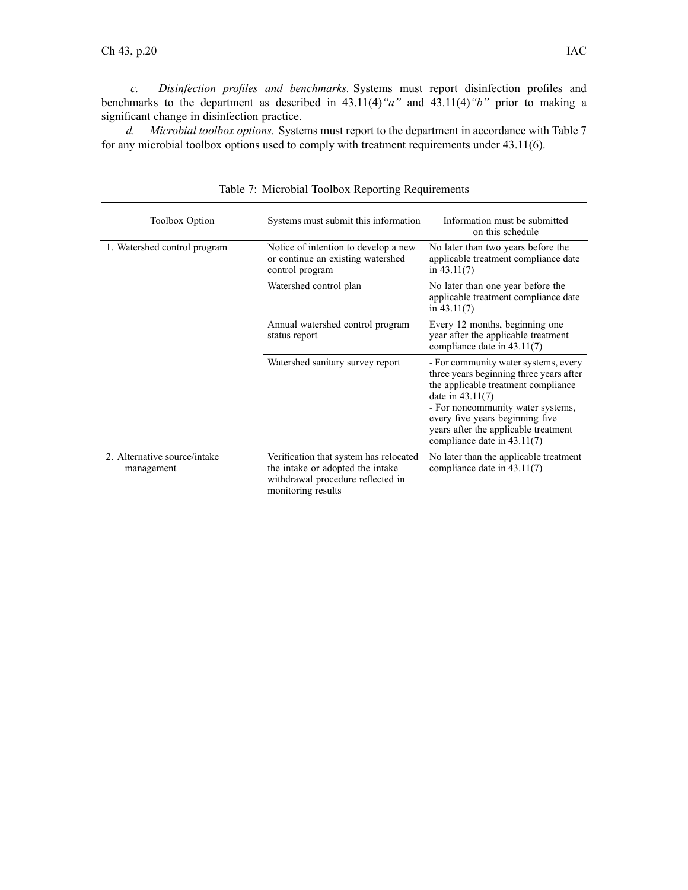*c. Disinfection profiles and benchmarks.* Systems must repor<sup>t</sup> disinfection profiles and benchmarks to the department as described in 43.11(4)*"a"* and 43.11(4)*"b"* prior to making <sup>a</sup> significant change in disinfection practice.

*d. Microbial toolbox options.* Systems must repor<sup>t</sup> to the department in accordance with Table 7 for any microbial toolbox options used to comply with treatment requirements under 43.11(6).

| <b>Toolbox Option</b>                      | Systems must submit this information                                                                                                  | Information must be submitted<br>on this schedule                                                                                                                                                                                                                                           |
|--------------------------------------------|---------------------------------------------------------------------------------------------------------------------------------------|---------------------------------------------------------------------------------------------------------------------------------------------------------------------------------------------------------------------------------------------------------------------------------------------|
| 1. Watershed control program               | Notice of intention to develop a new<br>or continue an existing watershed<br>control program                                          | No later than two years before the<br>applicable treatment compliance date<br>in $43.11(7)$                                                                                                                                                                                                 |
|                                            | Watershed control plan                                                                                                                | No later than one year before the<br>applicable treatment compliance date<br>in $43.11(7)$                                                                                                                                                                                                  |
|                                            | Annual watershed control program<br>status report                                                                                     | Every 12 months, beginning one<br>year after the applicable treatment<br>compliance date in 43.11(7)                                                                                                                                                                                        |
|                                            | Watershed sanitary survey report                                                                                                      | - For community water systems, every<br>three years beginning three years after<br>the applicable treatment compliance<br>date in $43.11(7)$<br>- For noncommunity water systems,<br>every five years beginning five<br>years after the applicable treatment<br>compliance date in 43.11(7) |
| 2. Alternative source/intake<br>management | Verification that system has relocated<br>the intake or adopted the intake<br>withdrawal procedure reflected in<br>monitoring results | No later than the applicable treatment<br>compliance date in $43.11(7)$                                                                                                                                                                                                                     |

Table 7: Microbial Toolbox Reporting Requirements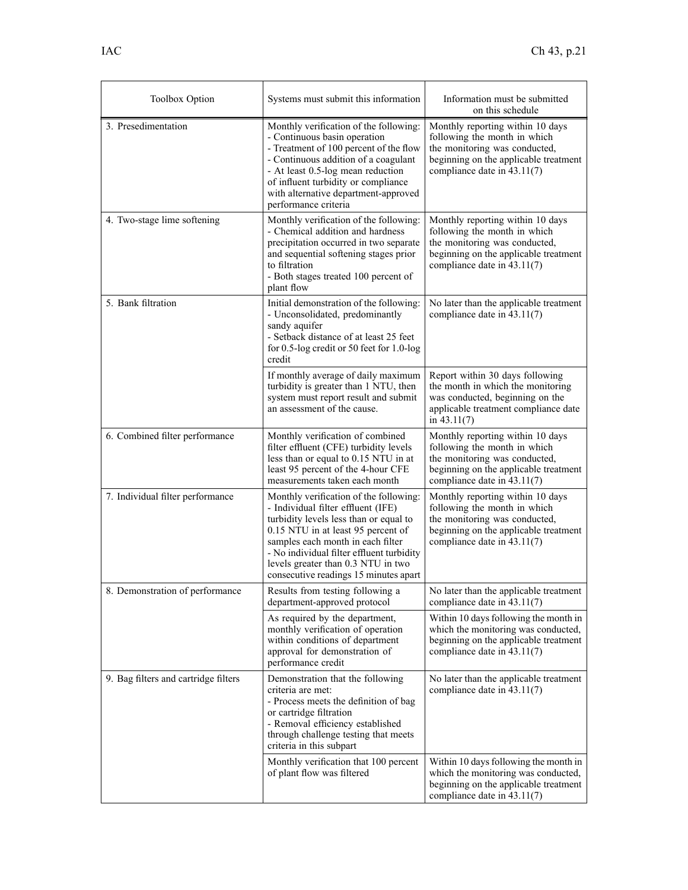| Toolbox Option                       | Systems must submit this information                                                                                                                                                                                                                                                                                          | Information must be submitted<br>on this schedule                                                                                                                         |
|--------------------------------------|-------------------------------------------------------------------------------------------------------------------------------------------------------------------------------------------------------------------------------------------------------------------------------------------------------------------------------|---------------------------------------------------------------------------------------------------------------------------------------------------------------------------|
| 3. Presedimentation                  | Monthly verification of the following:<br>- Continuous basin operation<br>- Treatment of 100 percent of the flow<br>- Continuous addition of a coagulant<br>- At least 0.5-log mean reduction<br>of influent turbidity or compliance<br>with alternative department-approved<br>performance criteria                          | Monthly reporting within 10 days<br>following the month in which<br>the monitoring was conducted,<br>beginning on the applicable treatment<br>compliance date in 43.11(7) |
| 4. Two-stage lime softening          | Monthly verification of the following:<br>- Chemical addition and hardness<br>precipitation occurred in two separate<br>and sequential softening stages prior<br>to filtration<br>- Both stages treated 100 percent of<br>plant flow                                                                                          | Monthly reporting within 10 days<br>following the month in which<br>the monitoring was conducted,<br>beginning on the applicable treatment<br>compliance date in 43.11(7) |
| 5. Bank filtration                   | Initial demonstration of the following:<br>- Unconsolidated, predominantly<br>sandy aquifer<br>- Setback distance of at least 25 feet<br>for 0.5-log credit or 50 feet for 1.0-log<br>credit                                                                                                                                  | No later than the applicable treatment<br>compliance date in $43.11(7)$                                                                                                   |
|                                      | If monthly average of daily maximum<br>turbidity is greater than 1 NTU, then<br>system must report result and submit<br>an assessment of the cause.                                                                                                                                                                           | Report within 30 days following<br>the month in which the monitoring<br>was conducted, beginning on the<br>applicable treatment compliance date<br>in $43.11(7)$          |
| 6. Combined filter performance       | Monthly verification of combined<br>filter effluent (CFE) turbidity levels<br>less than or equal to 0.15 NTU in at<br>least 95 percent of the 4-hour CFE<br>measurements taken each month                                                                                                                                     | Monthly reporting within 10 days<br>following the month in which<br>the monitoring was conducted,<br>beginning on the applicable treatment<br>compliance date in 43.11(7) |
| 7. Individual filter performance     | Monthly verification of the following:<br>- Individual filter effluent (IFE)<br>turbidity levels less than or equal to<br>0.15 NTU in at least 95 percent of<br>samples each month in each filter<br>- No individual filter effluent turbidity<br>levels greater than 0.3 NTU in two<br>consecutive readings 15 minutes apart | Monthly reporting within 10 days<br>following the month in which<br>the monitoring was conducted,<br>beginning on the applicable treatment<br>compliance date in 43.11(7) |
| 8. Demonstration of performance      | Results from testing following a<br>department-approved protocol                                                                                                                                                                                                                                                              | No later than the applicable treatment<br>compliance date in 43.11(7)                                                                                                     |
|                                      | As required by the department,<br>monthly verification of operation<br>within conditions of department<br>approval for demonstration of<br>performance credit                                                                                                                                                                 | Within 10 days following the month in<br>which the monitoring was conducted,<br>beginning on the applicable treatment<br>compliance date in 43.11(7)                      |
| 9. Bag filters and cartridge filters | Demonstration that the following<br>criteria are met:<br>- Process meets the definition of bag<br>or cartridge filtration<br>- Removal efficiency established<br>through challenge testing that meets<br>criteria in this subpart                                                                                             | No later than the applicable treatment<br>compliance date in 43.11(7)                                                                                                     |
|                                      | Monthly verification that 100 percent<br>of plant flow was filtered                                                                                                                                                                                                                                                           | Within 10 days following the month in<br>which the monitoring was conducted,<br>beginning on the applicable treatment<br>compliance date in 43.11(7)                      |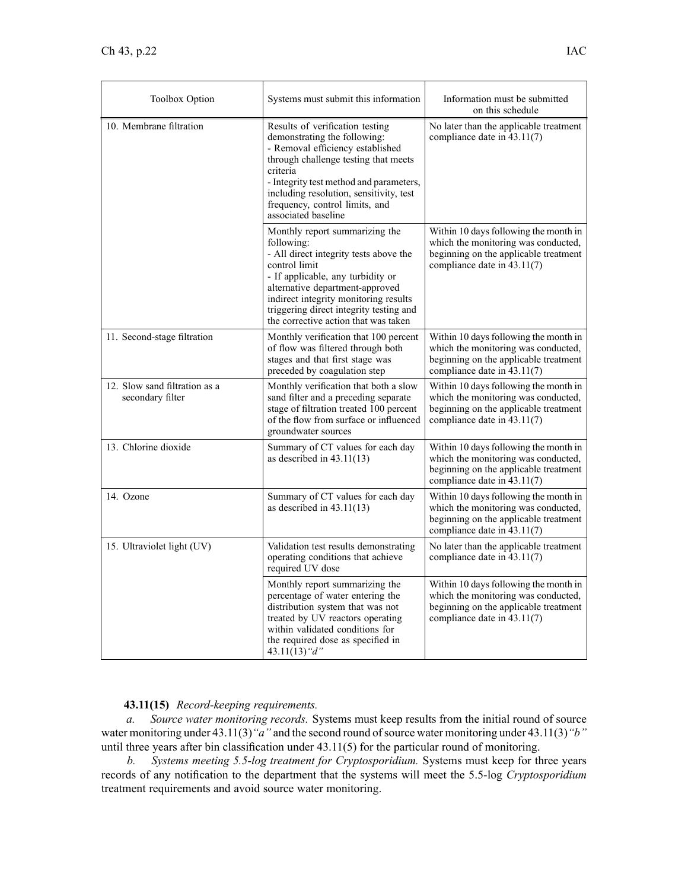| <b>Toolbox Option</b>                             | Systems must submit this information                                                                                                                                                                                                                                                                        | Information must be submitted<br>on this schedule                                                                                                    |
|---------------------------------------------------|-------------------------------------------------------------------------------------------------------------------------------------------------------------------------------------------------------------------------------------------------------------------------------------------------------------|------------------------------------------------------------------------------------------------------------------------------------------------------|
| 10. Membrane filtration                           | Results of verification testing<br>demonstrating the following:<br>- Removal efficiency established<br>through challenge testing that meets<br>criteria<br>- Integrity test method and parameters,<br>including resolution, sensitivity, test<br>frequency, control limits, and<br>associated baseline      | No later than the applicable treatment<br>compliance date in $43.11(7)$                                                                              |
|                                                   | Monthly report summarizing the<br>following:<br>- All direct integrity tests above the<br>control limit<br>- If applicable, any turbidity or<br>alternative department-approved<br>indirect integrity monitoring results<br>triggering direct integrity testing and<br>the corrective action that was taken | Within 10 days following the month in<br>which the monitoring was conducted,<br>beginning on the applicable treatment<br>compliance date in 43.11(7) |
| 11. Second-stage filtration                       | Monthly verification that 100 percent<br>of flow was filtered through both<br>stages and that first stage was<br>preceded by coagulation step                                                                                                                                                               | Within 10 days following the month in<br>which the monitoring was conducted,<br>beginning on the applicable treatment<br>compliance date in 43.11(7) |
| 12. Slow sand filtration as a<br>secondary filter | Monthly verification that both a slow<br>sand filter and a preceding separate<br>stage of filtration treated 100 percent<br>of the flow from surface or influenced<br>groundwater sources                                                                                                                   | Within 10 days following the month in<br>which the monitoring was conducted,<br>beginning on the applicable treatment<br>compliance date in 43.11(7) |
| 13. Chlorine dioxide                              | Summary of CT values for each day<br>as described in $43.11(13)$                                                                                                                                                                                                                                            | Within 10 days following the month in<br>which the monitoring was conducted,<br>beginning on the applicable treatment<br>compliance date in 43.11(7) |
| 14. Ozone                                         | Summary of CT values for each day<br>as described in $43.11(13)$                                                                                                                                                                                                                                            | Within 10 days following the month in<br>which the monitoring was conducted,<br>beginning on the applicable treatment<br>compliance date in 43.11(7) |
| 15. Ultraviolet light (UV)                        | Validation test results demonstrating<br>operating conditions that achieve<br>required UV dose                                                                                                                                                                                                              | No later than the applicable treatment<br>compliance date in 43.11(7)                                                                                |
|                                                   | Monthly report summarizing the<br>percentage of water entering the<br>distribution system that was not<br>treated by UV reactors operating<br>within validated conditions for<br>the required dose as specified in<br>43.11(13) "d"                                                                         | Within 10 days following the month in<br>which the monitoring was conducted,<br>beginning on the applicable treatment<br>compliance date in 43.11(7) |

# **43.11(15)** *Record-keeping requirements.*

*a. Source water monitoring records.* Systems must keep results from the initial round of source water monitoring under 43.11(3) "a" and the second round of source water monitoring under 43.11(3) "b" until three years after bin classification under 43.11(5) for the particular round of monitoring.

*b. Systems meeting 5.5-log treatment for Cryptosporidium.* Systems must keep for three years records of any notification to the department that the systems will meet the 5.5-log *Cryptosporidium* treatment requirements and avoid source water monitoring.